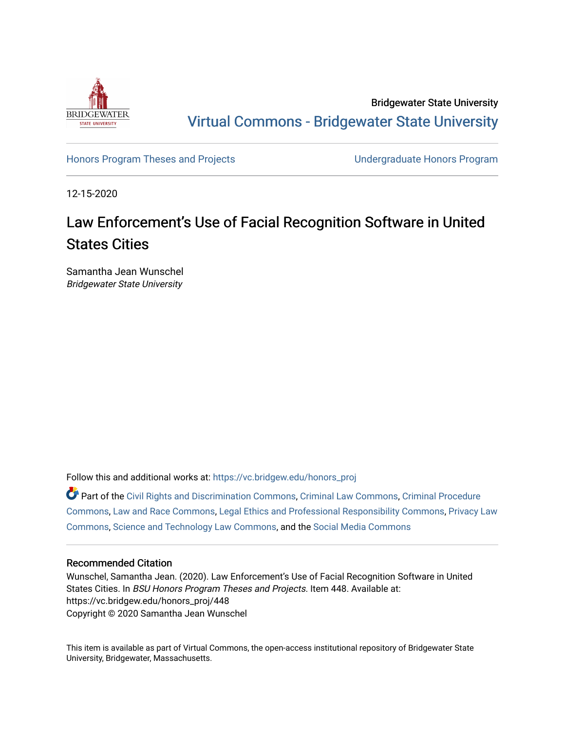

Bridgewater State University [Virtual Commons - Bridgewater State University](https://vc.bridgew.edu/) 

[Honors Program Theses and Projects](https://vc.bridgew.edu/honors_proj) [Undergraduate Honors Program](https://vc.bridgew.edu/honors) 

12-15-2020

# Law Enforcement's Use of Facial Recognition Software in United States Cities

Samantha Jean Wunschel Bridgewater State University

Follow this and additional works at: [https://vc.bridgew.edu/honors\\_proj](https://vc.bridgew.edu/honors_proj?utm_source=vc.bridgew.edu%2Fhonors_proj%2F448&utm_medium=PDF&utm_campaign=PDFCoverPages)

Part of the [Civil Rights and Discrimination Commons,](http://network.bepress.com/hgg/discipline/585?utm_source=vc.bridgew.edu%2Fhonors_proj%2F448&utm_medium=PDF&utm_campaign=PDFCoverPages) [Criminal Law Commons,](http://network.bepress.com/hgg/discipline/912?utm_source=vc.bridgew.edu%2Fhonors_proj%2F448&utm_medium=PDF&utm_campaign=PDFCoverPages) [Criminal Procedure](http://network.bepress.com/hgg/discipline/1073?utm_source=vc.bridgew.edu%2Fhonors_proj%2F448&utm_medium=PDF&utm_campaign=PDFCoverPages)  [Commons](http://network.bepress.com/hgg/discipline/1073?utm_source=vc.bridgew.edu%2Fhonors_proj%2F448&utm_medium=PDF&utm_campaign=PDFCoverPages), [Law and Race Commons](http://network.bepress.com/hgg/discipline/1300?utm_source=vc.bridgew.edu%2Fhonors_proj%2F448&utm_medium=PDF&utm_campaign=PDFCoverPages), [Legal Ethics and Professional Responsibility Commons,](http://network.bepress.com/hgg/discipline/895?utm_source=vc.bridgew.edu%2Fhonors_proj%2F448&utm_medium=PDF&utm_campaign=PDFCoverPages) [Privacy Law](http://network.bepress.com/hgg/discipline/1234?utm_source=vc.bridgew.edu%2Fhonors_proj%2F448&utm_medium=PDF&utm_campaign=PDFCoverPages) [Commons](http://network.bepress.com/hgg/discipline/1234?utm_source=vc.bridgew.edu%2Fhonors_proj%2F448&utm_medium=PDF&utm_campaign=PDFCoverPages), [Science and Technology Law Commons,](http://network.bepress.com/hgg/discipline/875?utm_source=vc.bridgew.edu%2Fhonors_proj%2F448&utm_medium=PDF&utm_campaign=PDFCoverPages) and the [Social Media Commons](http://network.bepress.com/hgg/discipline/1249?utm_source=vc.bridgew.edu%2Fhonors_proj%2F448&utm_medium=PDF&utm_campaign=PDFCoverPages)

## Recommended Citation

Wunschel, Samantha Jean. (2020). Law Enforcement's Use of Facial Recognition Software in United States Cities. In BSU Honors Program Theses and Projects. Item 448. Available at: https://vc.bridgew.edu/honors\_proj/448 Copyright © 2020 Samantha Jean Wunschel

This item is available as part of Virtual Commons, the open-access institutional repository of Bridgewater State University, Bridgewater, Massachusetts.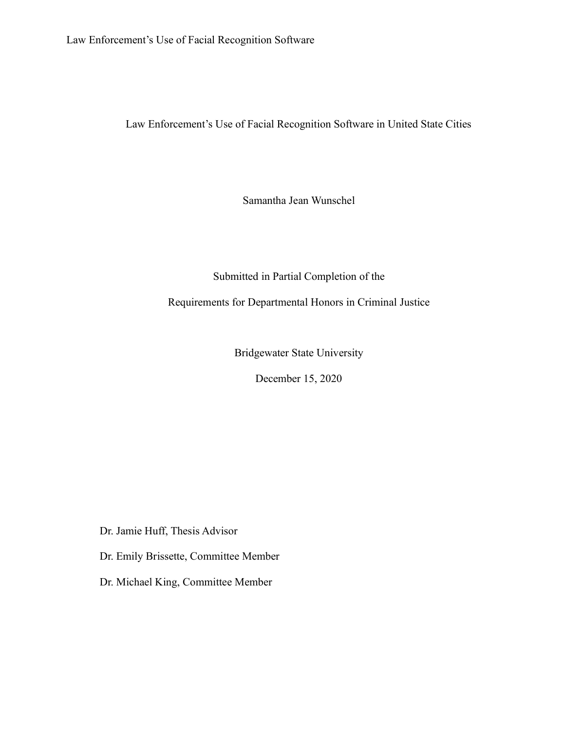Law Enforcement's Use of Facial Recognition Software in United State Cities

Samantha Jean Wunschel

## Submitted in Partial Completion of the

Requirements for Departmental Honors in Criminal Justice

Bridgewater State University

December 15, 2020

Dr. Jamie Huff, Thesis Advisor

Dr. Emily Brissette, Committee Member

Dr. Michael King, Committee Member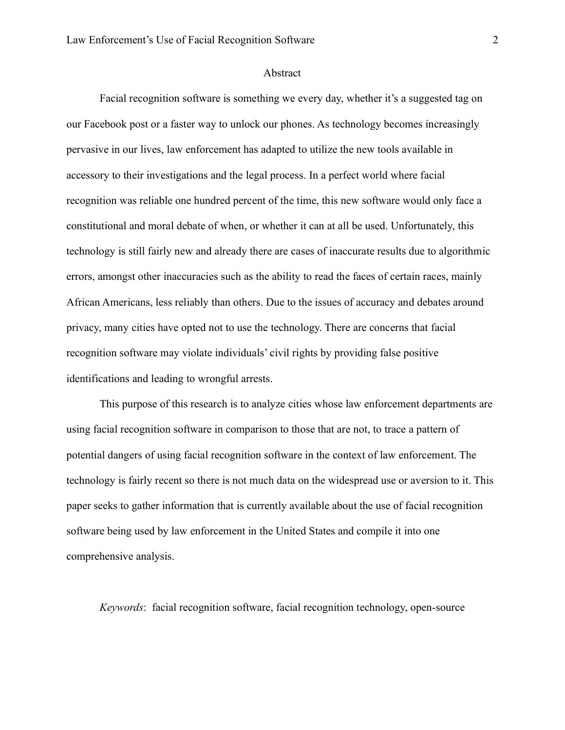#### Abstract

Facial recognition software is something we every day, whether it's a suggested tag on our Facebook post or a faster way to unlock our phones. As technology becomes increasingly pervasive in our lives, law enforcement has adapted to utilize the new tools available in accessory to their investigations and the legal process. In a perfect world where facial recognition was reliable one hundred percent of the time, this new software would only face a constitutional and moral debate of when, or whether it can at all be used. Unfortunately, this technology is still fairly new and already there are cases of inaccurate results due to algorithmic errors, amongst other inaccuracies such as the ability to read the faces of certain races, mainly African Americans, less reliably than others. Due to the issues of accuracy and debates around privacy, many cities have opted not to use the technology. There are concerns that facial recognition software may violate individuals' civil rights by providing false positive identifications and leading to wrongful arrests.

This purpose of this research is to analyze cities whose law enforcement departments are using facial recognition software in comparison to those that are not, to trace a pattern of potential dangers of using facial recognition software in the context of law enforcement. The technology is fairly recent so there is not much data on the widespread use or aversion to it. This paper seeks to gather information that is currently available about the use of facial recognition software being used by law enforcement in the United States and compile it into one comprehensive analysis.

*Keywords*: facial recognition software, facial recognition technology, open-source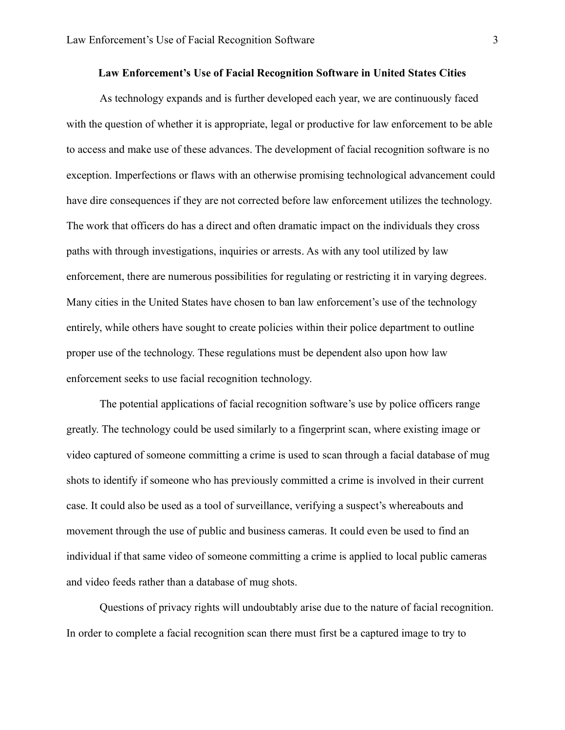#### **Law Enforcement's Use of Facial Recognition Software in United States Cities**

As technology expands and is further developed each year, we are continuously faced with the question of whether it is appropriate, legal or productive for law enforcement to be able to access and make use of these advances. The development of facial recognition software is no exception. Imperfections or flaws with an otherwise promising technological advancement could have dire consequences if they are not corrected before law enforcement utilizes the technology. The work that officers do has a direct and often dramatic impact on the individuals they cross paths with through investigations, inquiries or arrests. As with any tool utilized by law enforcement, there are numerous possibilities for regulating or restricting it in varying degrees. Many cities in the United States have chosen to ban law enforcement's use of the technology entirely, while others have sought to create policies within their police department to outline proper use of the technology. These regulations must be dependent also upon how law enforcement seeks to use facial recognition technology.

The potential applications of facial recognition software's use by police officers range greatly. The technology could be used similarly to a fingerprint scan, where existing image or video captured of someone committing a crime is used to scan through a facial database of mug shots to identify if someone who has previously committed a crime is involved in their current case. It could also be used as a tool of surveillance, verifying a suspect's whereabouts and movement through the use of public and business cameras. It could even be used to find an individual if that same video of someone committing a crime is applied to local public cameras and video feeds rather than a database of mug shots.

Questions of privacy rights will undoubtably arise due to the nature of facial recognition. In order to complete a facial recognition scan there must first be a captured image to try to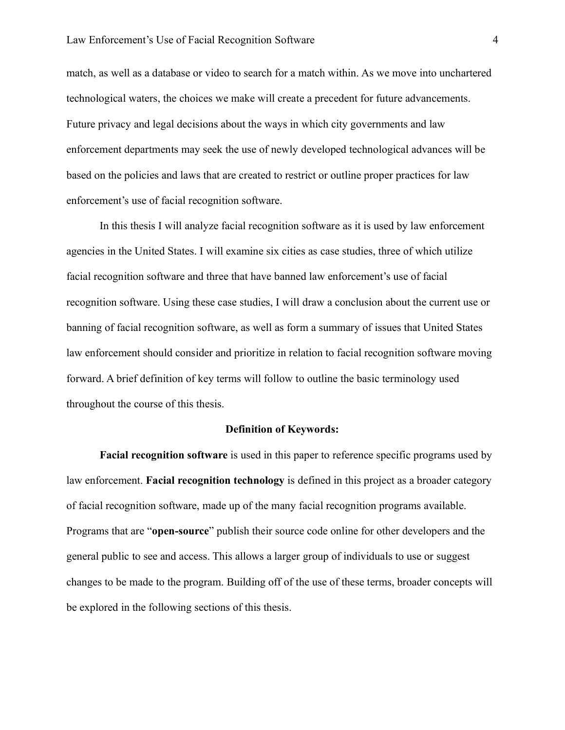match, as well as a database or video to search for a match within. As we move into unchartered technological waters, the choices we make will create a precedent for future advancements. Future privacy and legal decisions about the ways in which city governments and law enforcement departments may seek the use of newly developed technological advances will be based on the policies and laws that are created to restrict or outline proper practices for law enforcement's use of facial recognition software.

In this thesis I will analyze facial recognition software as it is used by law enforcement agencies in the United States. I will examine six cities as case studies, three of which utilize facial recognition software and three that have banned law enforcement's use of facial recognition software. Using these case studies, I will draw a conclusion about the current use or banning of facial recognition software, as well as form a summary of issues that United States law enforcement should consider and prioritize in relation to facial recognition software moving forward. A brief definition of key terms will follow to outline the basic terminology used throughout the course of this thesis.

#### **Definition of Keywords:**

**Facial recognition software** is used in this paper to reference specific programs used by law enforcement. **Facial recognition technology** is defined in this project as a broader category of facial recognition software, made up of the many facial recognition programs available. Programs that are "**open-source**" publish their source code online for other developers and the general public to see and access. This allows a larger group of individuals to use or suggest changes to be made to the program. Building off of the use of these terms, broader concepts will be explored in the following sections of this thesis.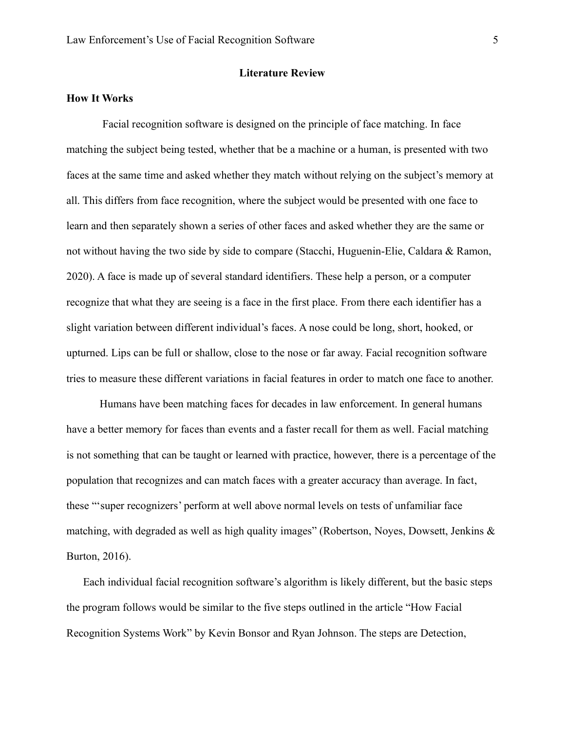## **Literature Review**

## **How It Works**

Facial recognition software is designed on the principle of face matching. In face matching the subject being tested, whether that be a machine or a human, is presented with two faces at the same time and asked whether they match without relying on the subject's memory at all. This differs from face recognition, where the subject would be presented with one face to learn and then separately shown a series of other faces and asked whether they are the same or not without having the two side by side to compare (Stacchi, Huguenin-Elie, Caldara & Ramon, 2020). A face is made up of several standard identifiers. These help a person, or a computer recognize that what they are seeing is a face in the first place. From there each identifier has a slight variation between different individual's faces. A nose could be long, short, hooked, or upturned. Lips can be full or shallow, close to the nose or far away. Facial recognition software tries to measure these different variations in facial features in order to match one face to another.

Humans have been matching faces for decades in law enforcement. In general humans have a better memory for faces than events and a faster recall for them as well. Facial matching is not something that can be taught or learned with practice, however, there is a percentage of the population that recognizes and can match faces with a greater accuracy than average. In fact, these "'super recognizers' perform at well above normal levels on tests of unfamiliar face matching, with degraded as well as high quality images" (Robertson, Noyes, Dowsett, Jenkins & Burton, 2016).

Each individual facial recognition software's algorithm is likely different, but the basic steps the program follows would be similar to the five steps outlined in the article "How Facial Recognition Systems Work" by Kevin Bonsor and Ryan Johnson. The steps are Detection,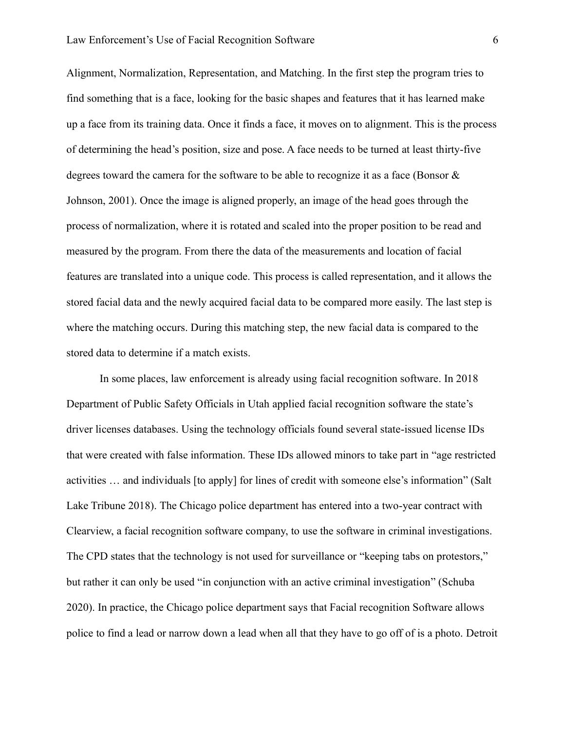Alignment, Normalization, Representation, and Matching. In the first step the program tries to find something that is a face, looking for the basic shapes and features that it has learned make up a face from its training data. Once it finds a face, it moves on to alignment. This is the process of determining the head's position, size and pose. A face needs to be turned at least thirty-five degrees toward the camera for the software to be able to recognize it as a face (Bonsor & Johnson, 2001). Once the image is aligned properly, an image of the head goes through the process of normalization, where it is rotated and scaled into the proper position to be read and measured by the program. From there the data of the measurements and location of facial features are translated into a unique code. This process is called representation, and it allows the stored facial data and the newly acquired facial data to be compared more easily. The last step is where the matching occurs. During this matching step, the new facial data is compared to the stored data to determine if a match exists.

In some places, law enforcement is already using facial recognition software. In 2018 Department of Public Safety Officials in Utah applied facial recognition software the state's driver licenses databases. Using the technology officials found several state-issued license IDs that were created with false information. These IDs allowed minors to take part in "age restricted activities … and individuals [to apply] for lines of credit with someone else's information" (Salt Lake Tribune 2018). The Chicago police department has entered into a two-year contract with Clearview, a facial recognition software company, to use the software in criminal investigations. The CPD states that the technology is not used for surveillance or "keeping tabs on protestors," but rather it can only be used "in conjunction with an active criminal investigation" (Schuba 2020). In practice, the Chicago police department says that Facial recognition Software allows police to find a lead or narrow down a lead when all that they have to go off of is a photo. Detroit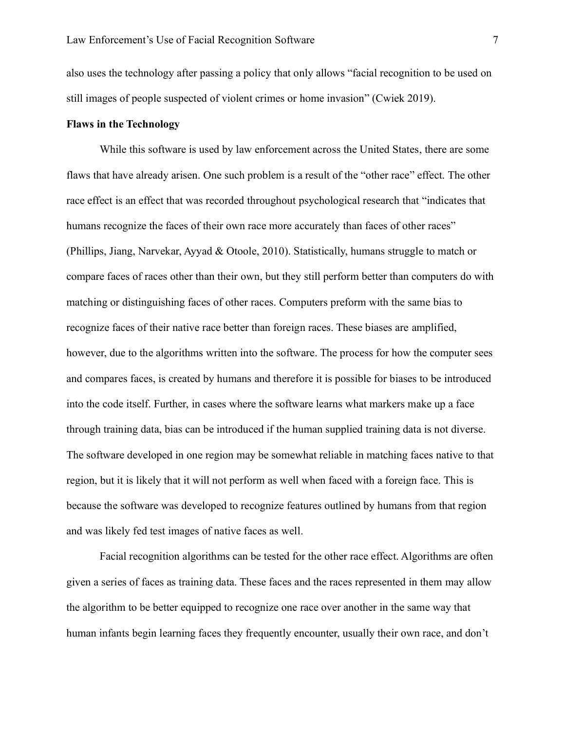also uses the technology after passing a policy that only allows "facial recognition to be used on still images of people suspected of violent crimes or home invasion" (Cwiek 2019).

## **Flaws in the Technology**

While this software is used by law enforcement across the United States, there are some flaws that have already arisen. One such problem is a result of the "other race" effect. The other race effect is an effect that was recorded throughout psychological research that "indicates that humans recognize the faces of their own race more accurately than faces of other races" (Phillips, Jiang, Narvekar, Ayyad & Otoole, 2010). Statistically, humans struggle to match or compare faces of races other than their own, but they still perform better than computers do with matching or distinguishing faces of other races. Computers preform with the same bias to recognize faces of their native race better than foreign races. These biases are amplified, however, due to the algorithms written into the software. The process for how the computer sees and compares faces, is created by humans and therefore it is possible for biases to be introduced into the code itself. Further, in cases where the software learns what markers make up a face through training data, bias can be introduced if the human supplied training data is not diverse. The software developed in one region may be somewhat reliable in matching faces native to that region, but it is likely that it will not perform as well when faced with a foreign face. This is because the software was developed to recognize features outlined by humans from that region and was likely fed test images of native faces as well.

Facial recognition algorithms can be tested for the other race effect. Algorithms are often given a series of faces as training data. These faces and the races represented in them may allow the algorithm to be better equipped to recognize one race over another in the same way that human infants begin learning faces they frequently encounter, usually their own race, and don't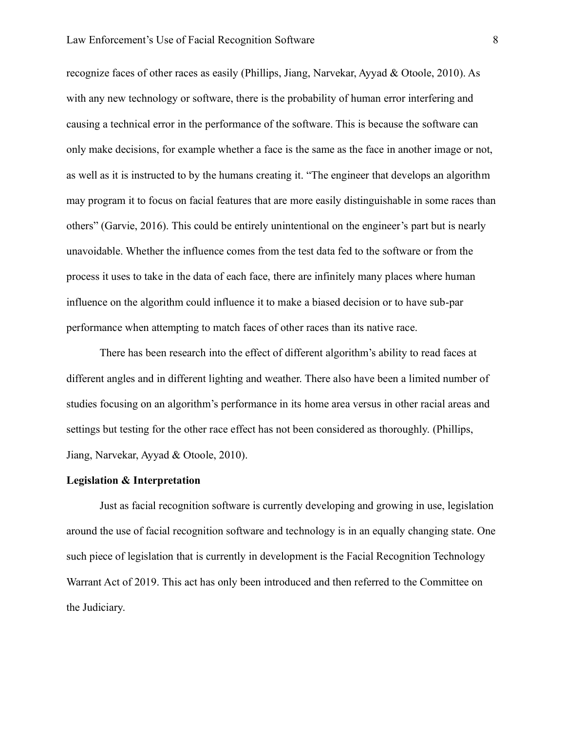recognize faces of other races as easily (Phillips, Jiang, Narvekar, Ayyad & Otoole, 2010). As with any new technology or software, there is the probability of human error interfering and causing a technical error in the performance of the software. This is because the software can only make decisions, for example whether a face is the same as the face in another image or not, as well as it is instructed to by the humans creating it. "The engineer that develops an algorithm may program it to focus on facial features that are more easily distinguishable in some races than others" (Garvie, 2016). This could be entirely unintentional on the engineer's part but is nearly unavoidable. Whether the influence comes from the test data fed to the software or from the process it uses to take in the data of each face, there are infinitely many places where human influence on the algorithm could influence it to make a biased decision or to have sub-par performance when attempting to match faces of other races than its native race.

There has been research into the effect of different algorithm's ability to read faces at different angles and in different lighting and weather. There also have been a limited number of studies focusing on an algorithm's performance in its home area versus in other racial areas and settings but testing for the other race effect has not been considered as thoroughly. (Phillips, Jiang, Narvekar, Ayyad & Otoole, 2010).

#### **Legislation & Interpretation**

Just as facial recognition software is currently developing and growing in use, legislation around the use of facial recognition software and technology is in an equally changing state. One such piece of legislation that is currently in development is the Facial Recognition Technology Warrant Act of 2019. This act has only been introduced and then referred to the Committee on the Judiciary.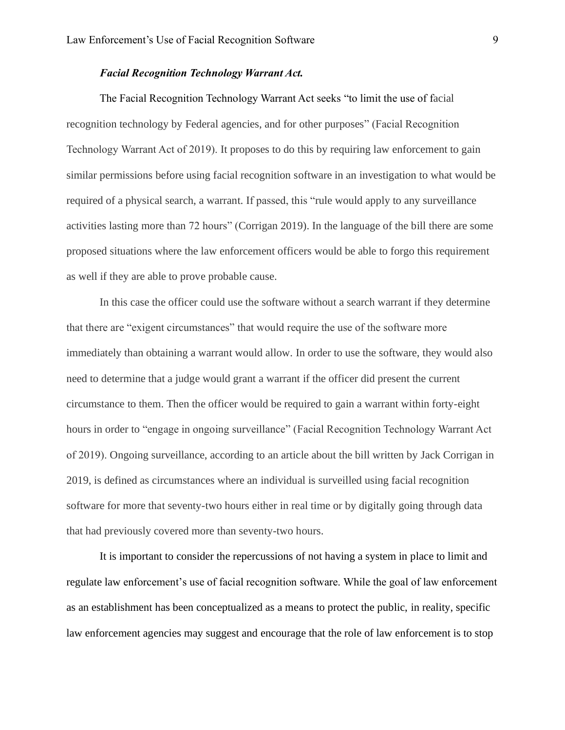## *Facial Recognition Technology Warrant Act.*

The Facial Recognition Technology Warrant Act seeks "to limit the use of facial recognition technology by Federal agencies, and for other purposes" (Facial Recognition Technology Warrant Act of 2019). It proposes to do this by requiring law enforcement to gain similar permissions before using facial recognition software in an investigation to what would be required of a physical search, a warrant. If passed, this "rule would apply to any surveillance activities lasting more than 72 hours" (Corrigan 2019). In the language of the bill there are some proposed situations where the law enforcement officers would be able to forgo this requirement as well if they are able to prove probable cause.

In this case the officer could use the software without a search warrant if they determine that there are "exigent circumstances" that would require the use of the software more immediately than obtaining a warrant would allow. In order to use the software, they would also need to determine that a judge would grant a warrant if the officer did present the current circumstance to them. Then the officer would be required to gain a warrant within forty-eight hours in order to "engage in ongoing surveillance" (Facial Recognition Technology Warrant Act of 2019). Ongoing surveillance, according to an article about the bill written by Jack Corrigan in 2019, is defined as circumstances where an individual is surveilled using facial recognition software for more that seventy-two hours either in real time or by digitally going through data that had previously covered more than seventy-two hours.

It is important to consider the repercussions of not having a system in place to limit and regulate law enforcement's use of facial recognition software. While the goal of law enforcement as an establishment has been conceptualized as a means to protect the public, in reality, specific law enforcement agencies may suggest and encourage that the role of law enforcement is to stop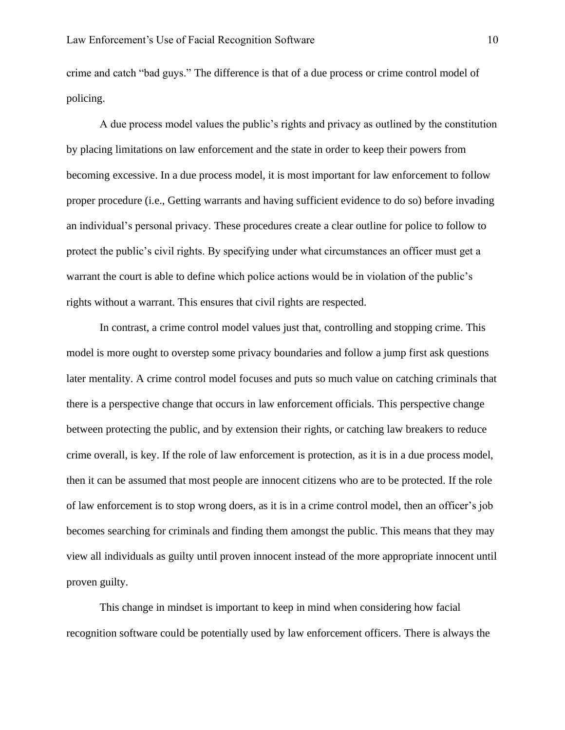crime and catch "bad guys." The difference is that of a due process or crime control model of policing.

A due process model values the public's rights and privacy as outlined by the constitution by placing limitations on law enforcement and the state in order to keep their powers from becoming excessive. In a due process model, it is most important for law enforcement to follow proper procedure (i.e., Getting warrants and having sufficient evidence to do so) before invading an individual's personal privacy. These procedures create a clear outline for police to follow to protect the public's civil rights. By specifying under what circumstances an officer must get a warrant the court is able to define which police actions would be in violation of the public's rights without a warrant. This ensures that civil rights are respected.

In contrast, a crime control model values just that, controlling and stopping crime. This model is more ought to overstep some privacy boundaries and follow a jump first ask questions later mentality. A crime control model focuses and puts so much value on catching criminals that there is a perspective change that occurs in law enforcement officials. This perspective change between protecting the public, and by extension their rights, or catching law breakers to reduce crime overall, is key. If the role of law enforcement is protection, as it is in a due process model, then it can be assumed that most people are innocent citizens who are to be protected. If the role of law enforcement is to stop wrong doers, as it is in a crime control model, then an officer's job becomes searching for criminals and finding them amongst the public. This means that they may view all individuals as guilty until proven innocent instead of the more appropriate innocent until proven guilty.

This change in mindset is important to keep in mind when considering how facial recognition software could be potentially used by law enforcement officers. There is always the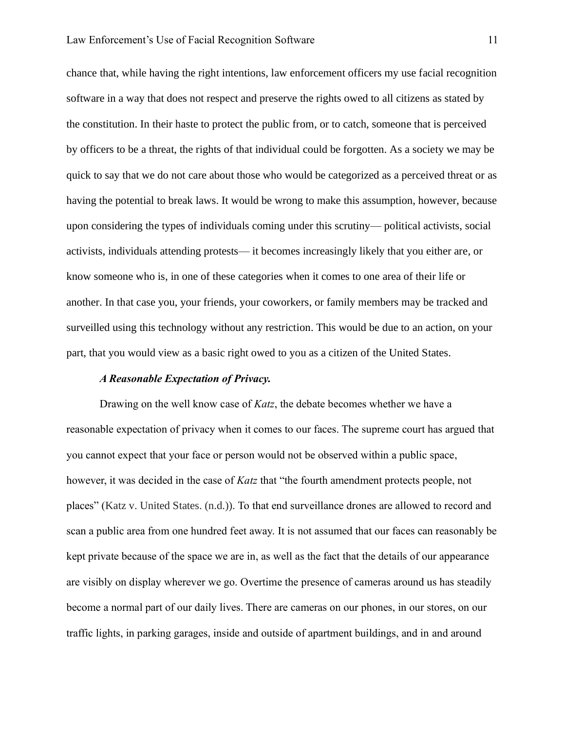chance that, while having the right intentions, law enforcement officers my use facial recognition software in a way that does not respect and preserve the rights owed to all citizens as stated by the constitution. In their haste to protect the public from, or to catch, someone that is perceived by officers to be a threat, the rights of that individual could be forgotten. As a society we may be quick to say that we do not care about those who would be categorized as a perceived threat or as having the potential to break laws. It would be wrong to make this assumption, however, because upon considering the types of individuals coming under this scrutiny— political activists, social activists, individuals attending protests— it becomes increasingly likely that you either are, or know someone who is, in one of these categories when it comes to one area of their life or another. In that case you, your friends, your coworkers, or family members may be tracked and surveilled using this technology without any restriction. This would be due to an action, on your part, that you would view as a basic right owed to you as a citizen of the United States.

#### *A Reasonable Expectation of Privacy.*

Drawing on the well know case of *Katz*, the debate becomes whether we have a reasonable expectation of privacy when it comes to our faces. The supreme court has argued that you cannot expect that your face or person would not be observed within a public space, however, it was decided in the case of *Katz* that "the fourth amendment protects people, not places" (Katz v. United States. (n.d.)). To that end surveillance drones are allowed to record and scan a public area from one hundred feet away. It is not assumed that our faces can reasonably be kept private because of the space we are in, as well as the fact that the details of our appearance are visibly on display wherever we go. Overtime the presence of cameras around us has steadily become a normal part of our daily lives. There are cameras on our phones, in our stores, on our traffic lights, in parking garages, inside and outside of apartment buildings, and in and around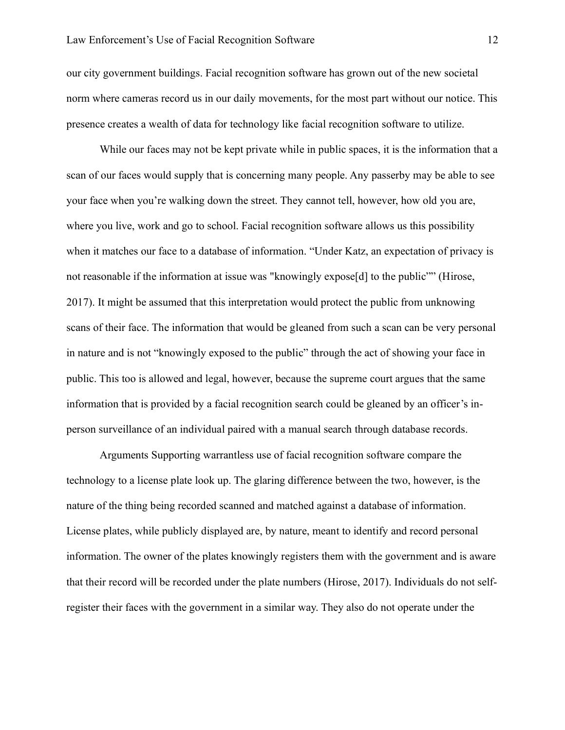our city government buildings. Facial recognition software has grown out of the new societal norm where cameras record us in our daily movements, for the most part without our notice. This presence creates a wealth of data for technology like facial recognition software to utilize.

While our faces may not be kept private while in public spaces, it is the information that a scan of our faces would supply that is concerning many people. Any passerby may be able to see your face when you're walking down the street. They cannot tell, however, how old you are, where you live, work and go to school. Facial recognition software allows us this possibility when it matches our face to a database of information. "Under Katz, an expectation of privacy is not reasonable if the information at issue was "knowingly expose<sup>[d]</sup> to the public"" (Hirose, 2017). It might be assumed that this interpretation would protect the public from unknowing scans of their face. The information that would be gleaned from such a scan can be very personal in nature and is not "knowingly exposed to the public" through the act of showing your face in public. This too is allowed and legal, however, because the supreme court argues that the same information that is provided by a facial recognition search could be gleaned by an officer's inperson surveillance of an individual paired with a manual search through database records.

Arguments Supporting warrantless use of facial recognition software compare the technology to a license plate look up. The glaring difference between the two, however, is the nature of the thing being recorded scanned and matched against a database of information. License plates, while publicly displayed are, by nature, meant to identify and record personal information. The owner of the plates knowingly registers them with the government and is aware that their record will be recorded under the plate numbers (Hirose, 2017). Individuals do not selfregister their faces with the government in a similar way. They also do not operate under the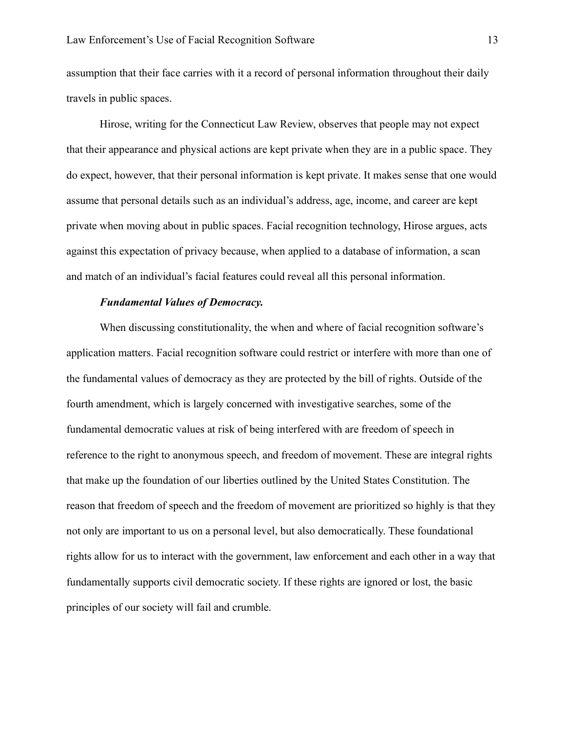assumption that their face carries with it a record of personal information throughout their daily travels in public spaces.

Hirose, writing for the Connecticut Law Review, observes that people may not expect that their appearance and physical actions are kept private when they are in a public space. They do expect, however, that their personal information is kept private. It makes sense that one would assume that personal details such as an individual's address, age, income, and career are kept private when moving about in public spaces. Facial recognition technology, Hirose argues, acts against this expectation of privacy because, when applied to a database of information, a scan and match of an individual's facial features could reveal all this personal information.

#### *Fundamental Values of Democracy.*

When discussing constitutionality, the when and where of facial recognition software's application matters. Facial recognition software could restrict or interfere with more than one of the fundamental values of democracy as they are protected by the bill of rights. Outside of the fourth amendment, which is largely concerned with investigative searches, some of the fundamental democratic values at risk of being interfered with are freedom of speech in reference to the right to anonymous speech, and freedom of movement. These are integral rights that make up the foundation of our liberties outlined by the United States Constitution. The reason that freedom of speech and the freedom of movement are prioritized so highly is that they not only are important to us on a personal level, but also democratically. These foundational rights allow for us to interact with the government, law enforcement and each other in a way that fundamentally supports civil democratic society. If these rights are ignored or lost, the basic principles of our society will fail and crumble.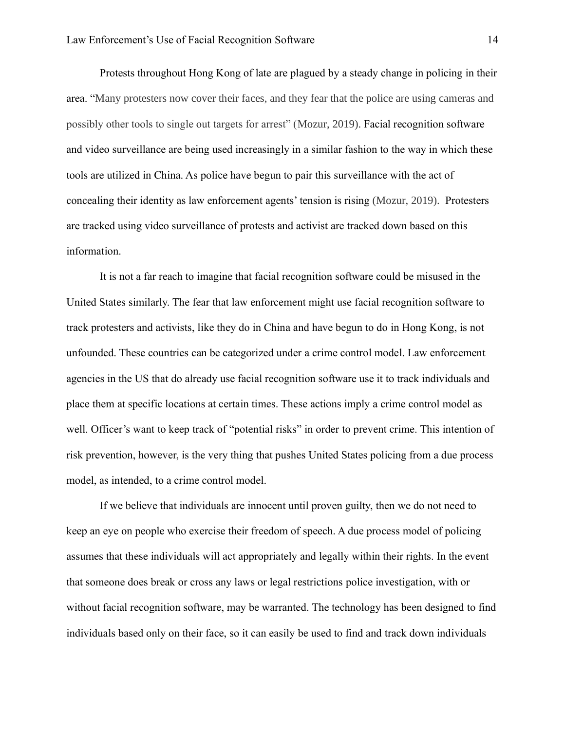Protests throughout Hong Kong of late are plagued by a steady change in policing in their area. "Many protesters now cover their faces, and they fear that the police are using cameras and possibly other tools to single out targets for arrest" (Mozur, 2019). Facial recognition software and video surveillance are being used increasingly in a similar fashion to the way in which these tools are utilized in China. As police have begun to pair this surveillance with the act of concealing their identity as law enforcement agents' tension is rising (Mozur, 2019). Protesters are tracked using video surveillance of protests and activist are tracked down based on this information.

It is not a far reach to imagine that facial recognition software could be misused in the United States similarly. The fear that law enforcement might use facial recognition software to track protesters and activists, like they do in China and have begun to do in Hong Kong, is not unfounded. These countries can be categorized under a crime control model. Law enforcement agencies in the US that do already use facial recognition software use it to track individuals and place them at specific locations at certain times. These actions imply a crime control model as well. Officer's want to keep track of "potential risks" in order to prevent crime. This intention of risk prevention, however, is the very thing that pushes United States policing from a due process model, as intended, to a crime control model.

If we believe that individuals are innocent until proven guilty, then we do not need to keep an eye on people who exercise their freedom of speech. A due process model of policing assumes that these individuals will act appropriately and legally within their rights. In the event that someone does break or cross any laws or legal restrictions police investigation, with or without facial recognition software, may be warranted. The technology has been designed to find individuals based only on their face, so it can easily be used to find and track down individuals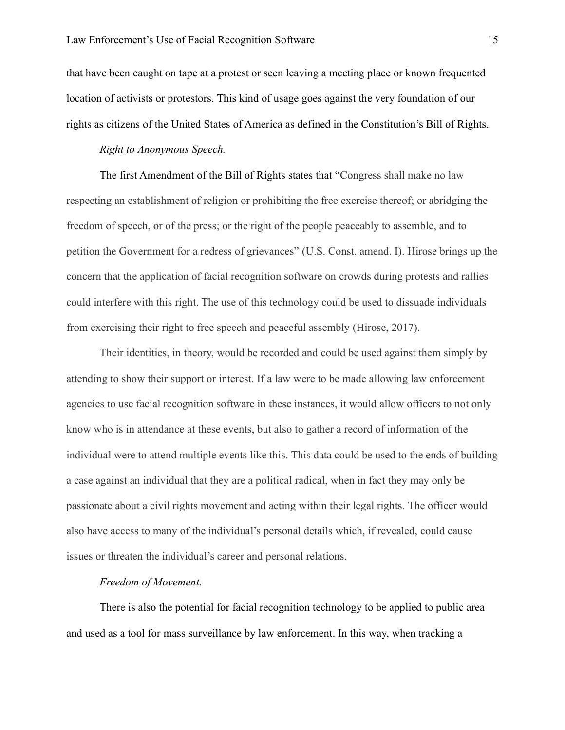that have been caught on tape at a protest or seen leaving a meeting place or known frequented location of activists or protestors. This kind of usage goes against the very foundation of our rights as citizens of the United States of America as defined in the Constitution's Bill of Rights.

## *Right to Anonymous Speech.*

The first Amendment of the Bill of Rights states that "Congress shall make no law respecting an establishment of religion or prohibiting the free exercise thereof; or abridging the freedom of speech, or of the press; or the right of the people peaceably to assemble, and to petition the Government for a redress of grievances" (U.S. Const. amend. I). Hirose brings up the concern that the application of facial recognition software on crowds during protests and rallies could interfere with this right. The use of this technology could be used to dissuade individuals from exercising their right to free speech and peaceful assembly (Hirose, 2017).

Their identities, in theory, would be recorded and could be used against them simply by attending to show their support or interest. If a law were to be made allowing law enforcement agencies to use facial recognition software in these instances, it would allow officers to not only know who is in attendance at these events, but also to gather a record of information of the individual were to attend multiple events like this. This data could be used to the ends of building a case against an individual that they are a political radical, when in fact they may only be passionate about a civil rights movement and acting within their legal rights. The officer would also have access to many of the individual's personal details which, if revealed, could cause issues or threaten the individual's career and personal relations.

#### *Freedom of Movement.*

There is also the potential for facial recognition technology to be applied to public area and used as a tool for mass surveillance by law enforcement. In this way, when tracking a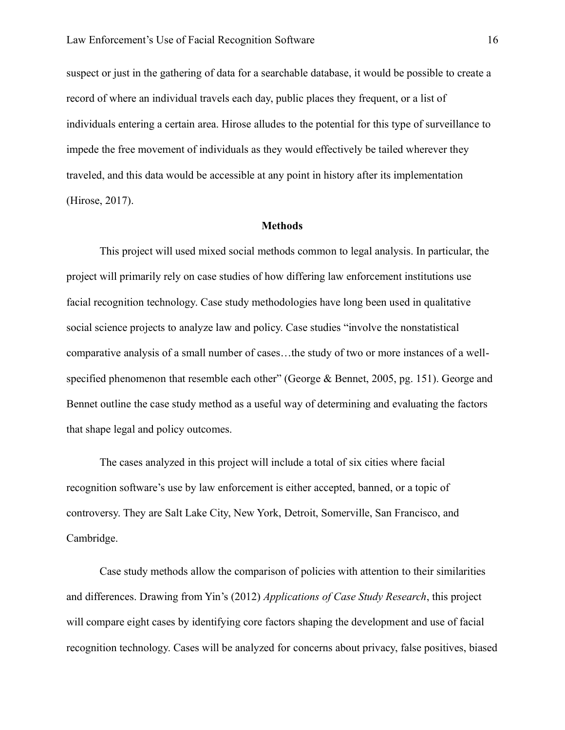suspect or just in the gathering of data for a searchable database, it would be possible to create a record of where an individual travels each day, public places they frequent, or a list of individuals entering a certain area. Hirose alludes to the potential for this type of surveillance to impede the free movement of individuals as they would effectively be tailed wherever they traveled, and this data would be accessible at any point in history after its implementation (Hirose, 2017).

#### **Methods**

This project will used mixed social methods common to legal analysis. In particular, the project will primarily rely on case studies of how differing law enforcement institutions use facial recognition technology. Case study methodologies have long been used in qualitative social science projects to analyze law and policy. Case studies "involve the nonstatistical comparative analysis of a small number of cases…the study of two or more instances of a wellspecified phenomenon that resemble each other" (George & Bennet, 2005, pg. 151). George and Bennet outline the case study method as a useful way of determining and evaluating the factors that shape legal and policy outcomes.

The cases analyzed in this project will include a total of six cities where facial recognition software's use by law enforcement is either accepted, banned, or a topic of controversy. They are Salt Lake City, New York, Detroit, Somerville, San Francisco, and Cambridge.

Case study methods allow the comparison of policies with attention to their similarities and differences. Drawing from Yin's (2012) *Applications of Case Study Research*, this project will compare eight cases by identifying core factors shaping the development and use of facial recognition technology. Cases will be analyzed for concerns about privacy, false positives, biased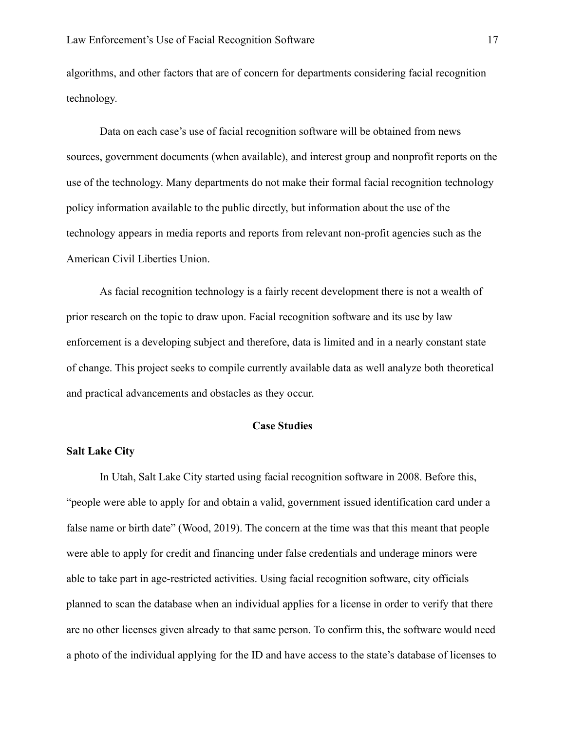algorithms, and other factors that are of concern for departments considering facial recognition technology.

Data on each case's use of facial recognition software will be obtained from news sources, government documents (when available), and interest group and nonprofit reports on the use of the technology. Many departments do not make their formal facial recognition technology policy information available to the public directly, but information about the use of the technology appears in media reports and reports from relevant non-profit agencies such as the American Civil Liberties Union.

As facial recognition technology is a fairly recent development there is not a wealth of prior research on the topic to draw upon. Facial recognition software and its use by law enforcement is a developing subject and therefore, data is limited and in a nearly constant state of change. This project seeks to compile currently available data as well analyze both theoretical and practical advancements and obstacles as they occur.

## **Case Studies**

## **Salt Lake City**

In Utah, Salt Lake City started using facial recognition software in 2008. Before this, "people were able to apply for and obtain a valid, government issued identification card under a false name or birth date" (Wood, 2019). The concern at the time was that this meant that people were able to apply for credit and financing under false credentials and underage minors were able to take part in age-restricted activities. Using facial recognition software, city officials planned to scan the database when an individual applies for a license in order to verify that there are no other licenses given already to that same person. To confirm this, the software would need a photo of the individual applying for the ID and have access to the state's database of licenses to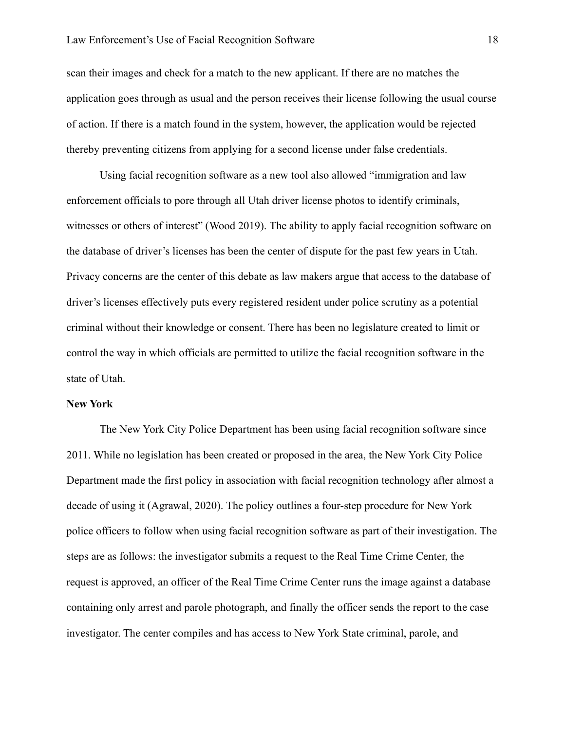scan their images and check for a match to the new applicant. If there are no matches the application goes through as usual and the person receives their license following the usual course of action. If there is a match found in the system, however, the application would be rejected thereby preventing citizens from applying for a second license under false credentials.

Using facial recognition software as a new tool also allowed "immigration and law enforcement officials to pore through all Utah driver license photos to identify criminals, witnesses or others of interest" (Wood 2019). The ability to apply facial recognition software on the database of driver's licenses has been the center of dispute for the past few years in Utah. Privacy concerns are the center of this debate as law makers argue that access to the database of driver's licenses effectively puts every registered resident under police scrutiny as a potential criminal without their knowledge or consent. There has been no legislature created to limit or control the way in which officials are permitted to utilize the facial recognition software in the state of Utah.

## **New York**

The New York City Police Department has been using facial recognition software since 2011. While no legislation has been created or proposed in the area, the New York City Police Department made the first policy in association with facial recognition technology after almost a decade of using it (Agrawal, 2020). The policy outlines a four-step procedure for New York police officers to follow when using facial recognition software as part of their investigation. The steps are as follows: the investigator submits a request to the Real Time Crime Center, the request is approved, an officer of the Real Time Crime Center runs the image against a database containing only arrest and parole photograph, and finally the officer sends the report to the case investigator. The center compiles and has access to New York State criminal, parole, and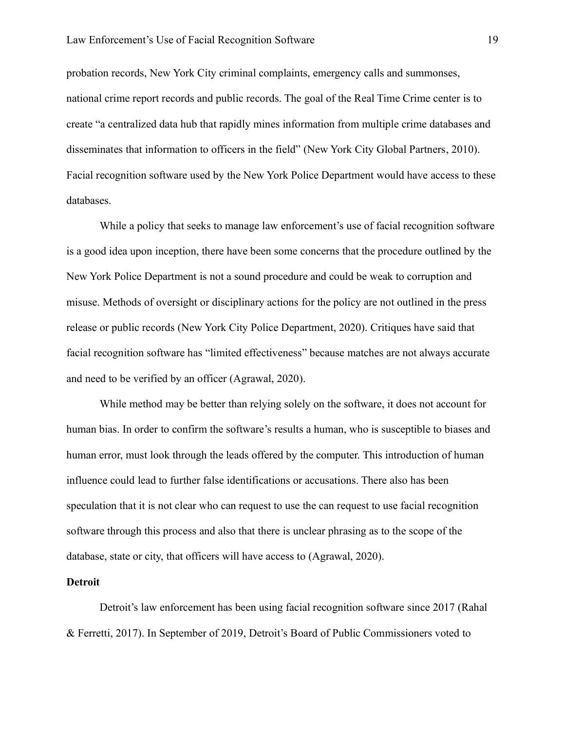probation records, New York City criminal complaints, emergency calls and summonses, national crime report records and public records. The goal of the Real Time Crime center is to create "a centralized data hub that rapidly mines information from multiple crime databases and disseminates that information to officers in the field" (New York City Global Partners, 2010). Facial recognition software used by the New York Police Department would have access to these databases.

While a policy that seeks to manage law enforcement's use of facial recognition software is a good idea upon inception, there have been some concerns that the procedure outlined by the New York Police Department is not a sound procedure and could be weak to corruption and misuse. Methods of oversight or disciplinary actions for the policy are not outlined in the press release or public records (New York City Police Department, 2020). Critiques have said that facial recognition software has "limited effectiveness" because matches are not always accurate and need to be verified by an officer (Agrawal, 2020).

While method may be better than relying solely on the software, it does not account for human bias. In order to confirm the software's results a human, who is susceptible to biases and human error, must look through the leads offered by the computer. This introduction of human influence could lead to further false identifications or accusations. There also has been speculation that it is not clear who can request to use the can request to use facial recognition software through this process and also that there is unclear phrasing as to the scope of the database, state or city, that officers will have access to (Agrawal, 2020).

## **Detroit**

Detroit's law enforcement has been using facial recognition software since 2017 (Rahal & Ferretti, 2017). In September of 2019, Detroit's Board of Public Commissioners voted to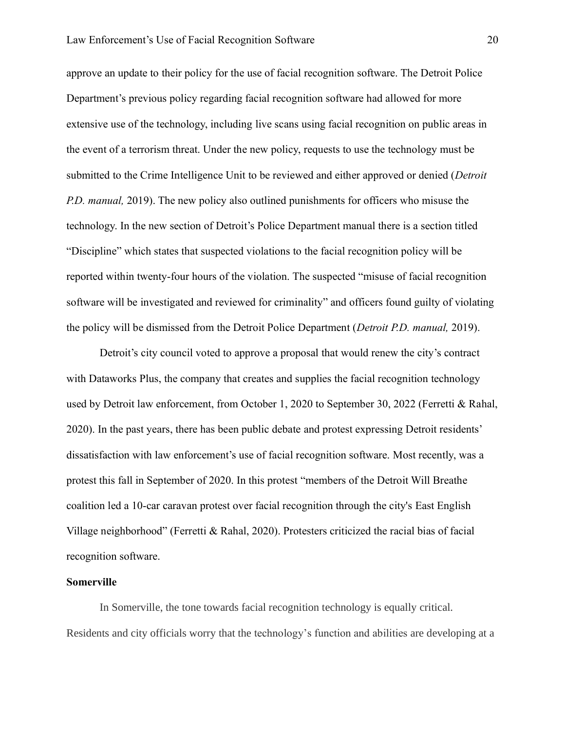approve an update to their policy for the use of facial recognition software. The Detroit Police Department's previous policy regarding facial recognition software had allowed for more extensive use of the technology, including live scans using facial recognition on public areas in the event of a terrorism threat. Under the new policy, requests to use the technology must be submitted to the Crime Intelligence Unit to be reviewed and either approved or denied (*Detroit P.D. manual,* 2019). The new policy also outlined punishments for officers who misuse the technology. In the new section of Detroit's Police Department manual there is a section titled "Discipline" which states that suspected violations to the facial recognition policy will be reported within twenty-four hours of the violation. The suspected "misuse of facial recognition software will be investigated and reviewed for criminality" and officers found guilty of violating the policy will be dismissed from the Detroit Police Department (*Detroit P.D. manual,* 2019).

Detroit's city council voted to approve a proposal that would renew the city's contract with Dataworks Plus, the company that creates and supplies the facial recognition technology used by Detroit law enforcement, from October 1, 2020 to September 30, 2022 (Ferretti & Rahal, 2020). In the past years, there has been public debate and protest expressing Detroit residents' dissatisfaction with law enforcement's use of facial recognition software. Most recently, was a protest this fall in September of 2020. In this protest "members of the Detroit Will Breathe coalition led a 10-car caravan protest over facial recognition through the city's East English Village neighborhood" (Ferretti & Rahal, 2020). Protesters criticized the racial bias of facial recognition software.

#### **Somerville**

In Somerville, the tone towards facial recognition technology is equally critical. Residents and city officials worry that the technology's function and abilities are developing at a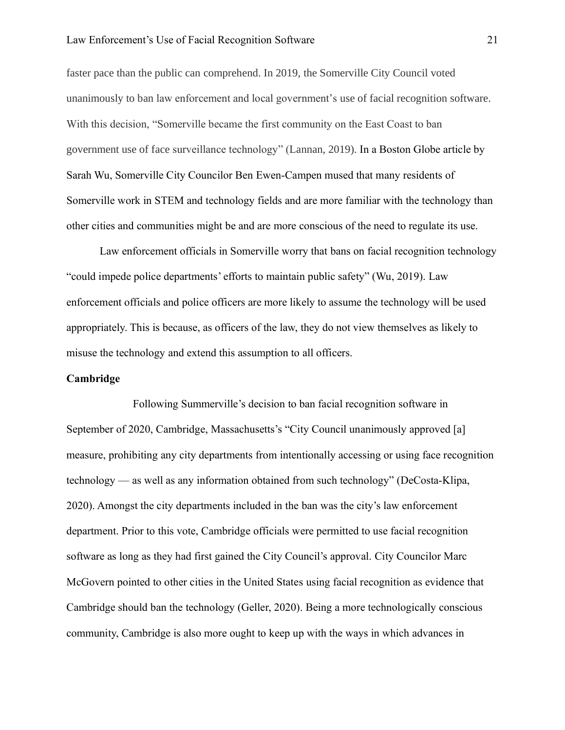#### Law Enforcement's Use of Facial Recognition Software 21

faster pace than the public can comprehend. In 2019, the Somerville City Council voted unanimously to ban law enforcement and local government's use of facial recognition software. With this decision, "Somerville became the first community on the East Coast to ban government use of face surveillance technology" (Lannan, 2019). In a Boston Globe article by Sarah Wu, Somerville City Councilor Ben Ewen-Campen mused that many residents of Somerville work in STEM and technology fields and are more familiar with the technology than other cities and communities might be and are more conscious of the need to regulate its use.

Law enforcement officials in Somerville worry that bans on facial recognition technology "could impede police departments' efforts to maintain public safety" (Wu, 2019). Law enforcement officials and police officers are more likely to assume the technology will be used appropriately. This is because, as officers of the law, they do not view themselves as likely to misuse the technology and extend this assumption to all officers.

## **Cambridge**

Following Summerville's decision to ban facial recognition software in September of 2020, Cambridge, Massachusetts's "City Council unanimously approved [a] measure, prohibiting any city departments from intentionally accessing or using face recognition technology — as well as any information obtained from such technology" (DeCosta-Klipa, 2020). Amongst the city departments included in the ban was the city's law enforcement department. Prior to this vote, Cambridge officials were permitted to use facial recognition software as long as they had first gained the City Council's approval. City Councilor Marc McGovern pointed to other cities in the United States using facial recognition as evidence that Cambridge should ban the technology (Geller, 2020). Being a more technologically conscious community, Cambridge is also more ought to keep up with the ways in which advances in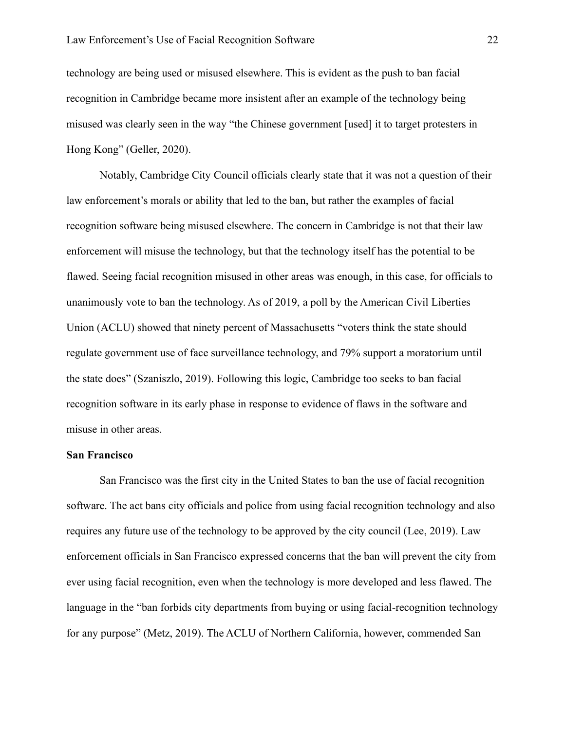technology are being used or misused elsewhere. This is evident as the push to ban facial recognition in Cambridge became more insistent after an example of the technology being misused was clearly seen in the way "the Chinese government [used] it to target protesters in Hong Kong" (Geller, 2020).

Notably, Cambridge City Council officials clearly state that it was not a question of their law enforcement's morals or ability that led to the ban, but rather the examples of facial recognition software being misused elsewhere. The concern in Cambridge is not that their law enforcement will misuse the technology, but that the technology itself has the potential to be flawed. Seeing facial recognition misused in other areas was enough, in this case, for officials to unanimously vote to ban the technology. As of 2019, a poll by the American Civil Liberties Union (ACLU) showed that ninety percent of Massachusetts "voters think the state should regulate government use of face surveillance technology, and 79% support a moratorium until the state does" (Szaniszlo, 2019). Following this logic, Cambridge too seeks to ban facial recognition software in its early phase in response to evidence of flaws in the software and misuse in other areas.

#### **San Francisco**

San Francisco was the first city in the United States to ban the use of facial recognition software. The act bans city officials and police from using facial recognition technology and also requires any future use of the technology to be approved by the city council (Lee, 2019). Law enforcement officials in San Francisco expressed concerns that the ban will prevent the city from ever using facial recognition, even when the technology is more developed and less flawed. The language in the "ban forbids city departments from buying or using facial-recognition technology for any purpose" (Metz, 2019). The ACLU of Northern California, however, commended San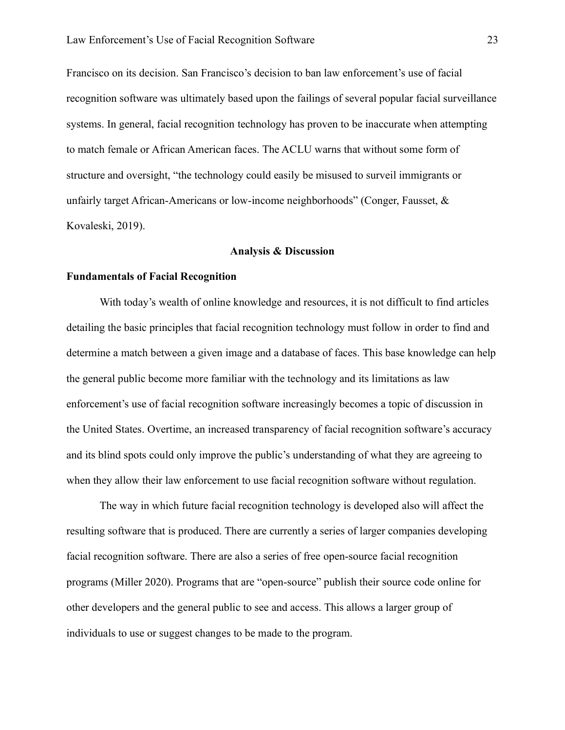Francisco on its decision. San Francisco's decision to ban law enforcement's use of facial recognition software was ultimately based upon the failings of several popular facial surveillance systems. In general, facial recognition technology has proven to be inaccurate when attempting to match female or African American faces. The ACLU warns that without some form of structure and oversight, "the technology could easily be misused to surveil immigrants or unfairly target African-Americans or low-income neighborhoods" (Conger, Fausset,  $\&$ Kovaleski, 2019).

#### **Analysis & Discussion**

## **Fundamentals of Facial Recognition**

With today's wealth of online knowledge and resources, it is not difficult to find articles detailing the basic principles that facial recognition technology must follow in order to find and determine a match between a given image and a database of faces. This base knowledge can help the general public become more familiar with the technology and its limitations as law enforcement's use of facial recognition software increasingly becomes a topic of discussion in the United States. Overtime, an increased transparency of facial recognition software's accuracy and its blind spots could only improve the public's understanding of what they are agreeing to when they allow their law enforcement to use facial recognition software without regulation.

The way in which future facial recognition technology is developed also will affect the resulting software that is produced. There are currently a series of larger companies developing facial recognition software. There are also a series of free open-source facial recognition programs (Miller 2020). Programs that are "open-source" publish their source code online for other developers and the general public to see and access. This allows a larger group of individuals to use or suggest changes to be made to the program.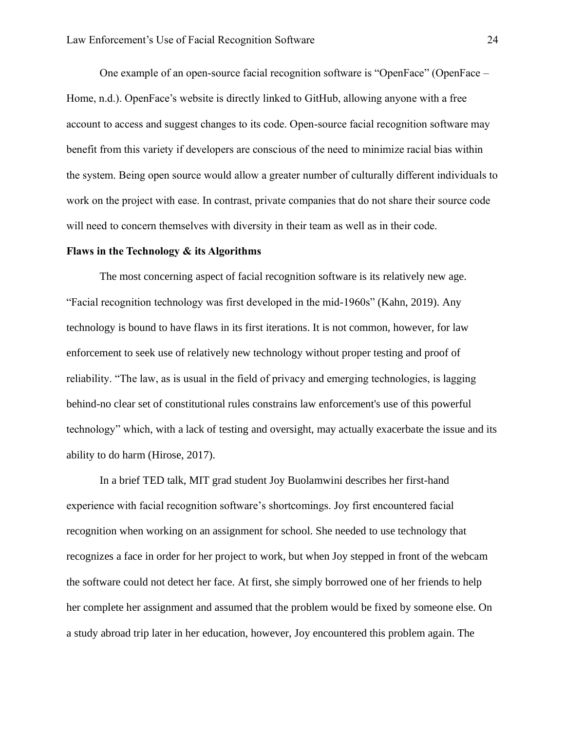One example of an open-source facial recognition software is "OpenFace" (OpenFace – Home, n.d.). OpenFace's website is directly linked to GitHub, allowing anyone with a free account to access and suggest changes to its code. Open-source facial recognition software may benefit from this variety if developers are conscious of the need to minimize racial bias within the system. Being open source would allow a greater number of culturally different individuals to work on the project with ease. In contrast, private companies that do not share their source code will need to concern themselves with diversity in their team as well as in their code.

#### **Flaws in the Technology & its Algorithms**

The most concerning aspect of facial recognition software is its relatively new age. "Facial recognition technology was first developed in the mid-1960s" (Kahn, 2019). Any technology is bound to have flaws in its first iterations. It is not common, however, for law enforcement to seek use of relatively new technology without proper testing and proof of reliability. "The law, as is usual in the field of privacy and emerging technologies, is lagging behind-no clear set of constitutional rules constrains law enforcement's use of this powerful technology" which, with a lack of testing and oversight, may actually exacerbate the issue and its ability to do harm (Hirose, 2017).

In a brief TED talk, MIT grad student Joy Buolamwini describes her first-hand experience with facial recognition software's shortcomings. Joy first encountered facial recognition when working on an assignment for school. She needed to use technology that recognizes a face in order for her project to work, but when Joy stepped in front of the webcam the software could not detect her face. At first, she simply borrowed one of her friends to help her complete her assignment and assumed that the problem would be fixed by someone else. On a study abroad trip later in her education, however, Joy encountered this problem again. The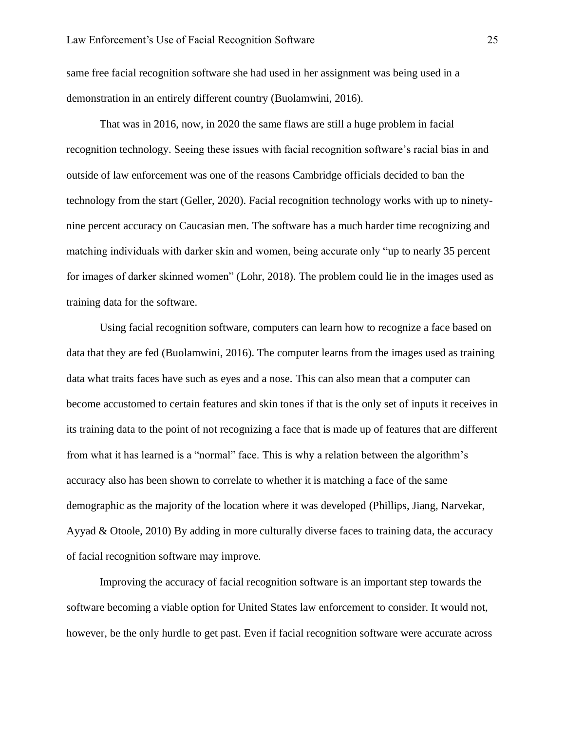same free facial recognition software she had used in her assignment was being used in a demonstration in an entirely different country (Buolamwini, 2016).

That was in 2016, now, in 2020 the same flaws are still a huge problem in facial recognition technology. Seeing these issues with facial recognition software's racial bias in and outside of law enforcement was one of the reasons Cambridge officials decided to ban the technology from the start (Geller, 2020). Facial recognition technology works with up to ninetynine percent accuracy on Caucasian men. The software has a much harder time recognizing and matching individuals with darker skin and women, being accurate only "up to nearly 35 percent for images of darker skinned women" (Lohr, 2018). The problem could lie in the images used as training data for the software.

Using facial recognition software, computers can learn how to recognize a face based on data that they are fed (Buolamwini, 2016). The computer learns from the images used as training data what traits faces have such as eyes and a nose. This can also mean that a computer can become accustomed to certain features and skin tones if that is the only set of inputs it receives in its training data to the point of not recognizing a face that is made up of features that are different from what it has learned is a "normal" face. This is why a relation between the algorithm's accuracy also has been shown to correlate to whether it is matching a face of the same demographic as the majority of the location where it was developed (Phillips, Jiang, Narvekar, Ayyad & Otoole, 2010) By adding in more culturally diverse faces to training data, the accuracy of facial recognition software may improve.

Improving the accuracy of facial recognition software is an important step towards the software becoming a viable option for United States law enforcement to consider. It would not, however, be the only hurdle to get past. Even if facial recognition software were accurate across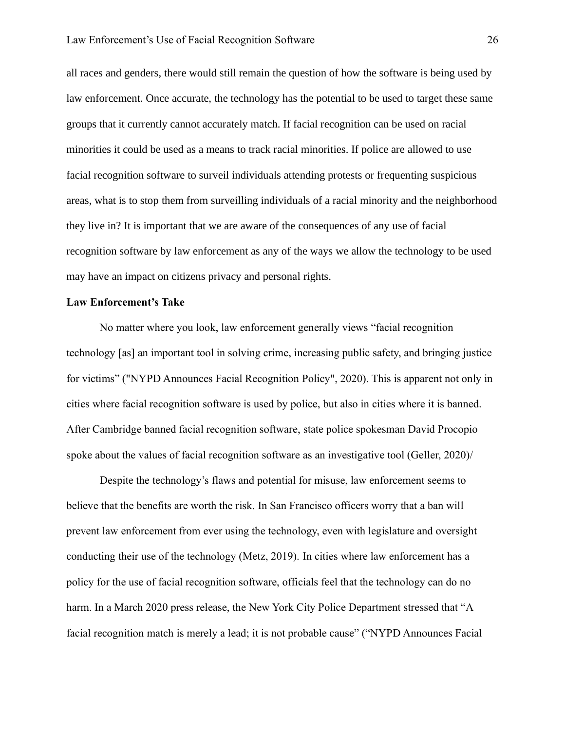all races and genders, there would still remain the question of how the software is being used by law enforcement. Once accurate, the technology has the potential to be used to target these same groups that it currently cannot accurately match. If facial recognition can be used on racial minorities it could be used as a means to track racial minorities. If police are allowed to use facial recognition software to surveil individuals attending protests or frequenting suspicious areas, what is to stop them from surveilling individuals of a racial minority and the neighborhood they live in? It is important that we are aware of the consequences of any use of facial recognition software by law enforcement as any of the ways we allow the technology to be used may have an impact on citizens privacy and personal rights.

## **Law Enforcement's Take**

No matter where you look, law enforcement generally views "facial recognition technology [as] an important tool in solving crime, increasing public safety, and bringing justice for victims" ("NYPD Announces Facial Recognition Policy", 2020). This is apparent not only in cities where facial recognition software is used by police, but also in cities where it is banned. After Cambridge banned facial recognition software, state police spokesman David Procopio spoke about the values of facial recognition software as an investigative tool (Geller, 2020)/

Despite the technology's flaws and potential for misuse, law enforcement seems to believe that the benefits are worth the risk. In San Francisco officers worry that a ban will prevent law enforcement from ever using the technology, even with legislature and oversight conducting their use of the technology (Metz, 2019). In cities where law enforcement has a policy for the use of facial recognition software, officials feel that the technology can do no harm. In a March 2020 press release, the New York City Police Department stressed that "A facial recognition match is merely a lead; it is not probable cause" ("NYPD Announces Facial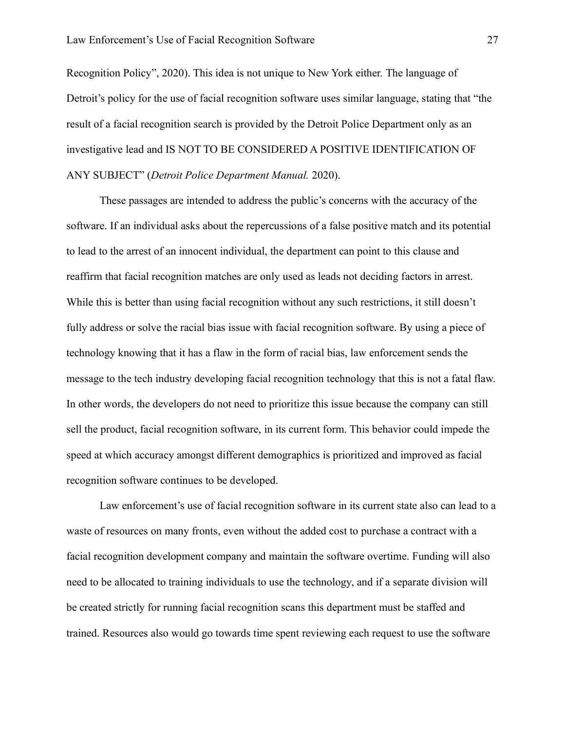Recognition Policy", 2020). This idea is not unique to New York either. The language of Detroit's policy for the use of facial recognition software uses similar language, stating that "the result of a facial recognition search is provided by the Detroit Police Department only as an investigative lead and IS NOT TO BE CONSIDERED A POSITIVE IDENTIFICATION OF ANY SUBJECT" (*Detroit Police Department Manual.* 2020).

These passages are intended to address the public's concerns with the accuracy of the software. If an individual asks about the repercussions of a false positive match and its potential to lead to the arrest of an innocent individual, the department can point to this clause and reaffirm that facial recognition matches are only used as leads not deciding factors in arrest. While this is better than using facial recognition without any such restrictions, it still doesn't fully address or solve the racial bias issue with facial recognition software. By using a piece of technology knowing that it has a flaw in the form of racial bias, law enforcement sends the message to the tech industry developing facial recognition technology that this is not a fatal flaw. In other words, the developers do not need to prioritize this issue because the company can still sell the product, facial recognition software, in its current form. This behavior could impede the speed at which accuracy amongst different demographics is prioritized and improved as facial recognition software continues to be developed.

Law enforcement's use of facial recognition software in its current state also can lead to a waste of resources on many fronts, even without the added cost to purchase a contract with a facial recognition development company and maintain the software overtime. Funding will also need to be allocated to training individuals to use the technology, and if a separate division will be created strictly for running facial recognition scans this department must be staffed and trained. Resources also would go towards time spent reviewing each request to use the software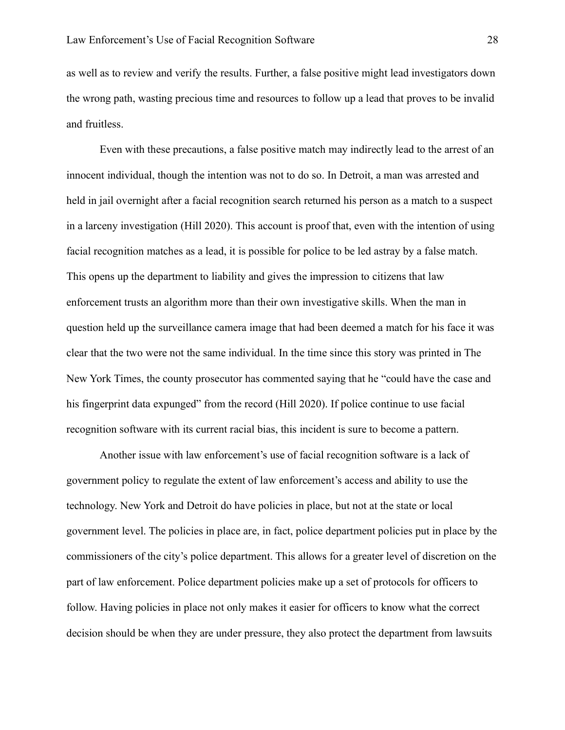as well as to review and verify the results. Further, a false positive might lead investigators down the wrong path, wasting precious time and resources to follow up a lead that proves to be invalid and fruitless.

Even with these precautions, a false positive match may indirectly lead to the arrest of an innocent individual, though the intention was not to do so. In Detroit, a man was arrested and held in jail overnight after a facial recognition search returned his person as a match to a suspect in a larceny investigation (Hill 2020). This account is proof that, even with the intention of using facial recognition matches as a lead, it is possible for police to be led astray by a false match. This opens up the department to liability and gives the impression to citizens that law enforcement trusts an algorithm more than their own investigative skills. When the man in question held up the surveillance camera image that had been deemed a match for his face it was clear that the two were not the same individual. In the time since this story was printed in The New York Times, the county prosecutor has commented saying that he "could have the case and his fingerprint data expunged" from the record (Hill 2020). If police continue to use facial recognition software with its current racial bias, this incident is sure to become a pattern.

Another issue with law enforcement's use of facial recognition software is a lack of government policy to regulate the extent of law enforcement's access and ability to use the technology. New York and Detroit do have policies in place, but not at the state or local government level. The policies in place are, in fact, police department policies put in place by the commissioners of the city's police department. This allows for a greater level of discretion on the part of law enforcement. Police department policies make up a set of protocols for officers to follow. Having policies in place not only makes it easier for officers to know what the correct decision should be when they are under pressure, they also protect the department from lawsuits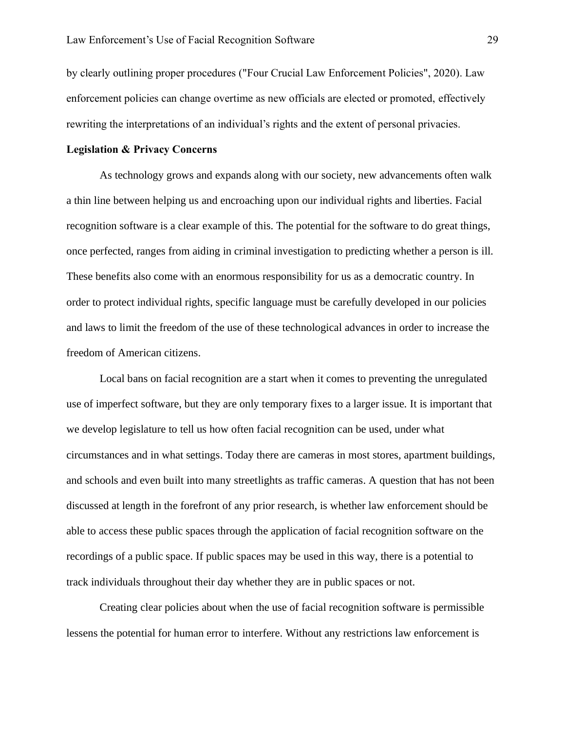by clearly outlining proper procedures ("Four Crucial Law Enforcement Policies", 2020). Law enforcement policies can change overtime as new officials are elected or promoted, effectively rewriting the interpretations of an individual's rights and the extent of personal privacies.

## **Legislation & Privacy Concerns**

As technology grows and expands along with our society, new advancements often walk a thin line between helping us and encroaching upon our individual rights and liberties. Facial recognition software is a clear example of this. The potential for the software to do great things, once perfected, ranges from aiding in criminal investigation to predicting whether a person is ill. These benefits also come with an enormous responsibility for us as a democratic country. In order to protect individual rights, specific language must be carefully developed in our policies and laws to limit the freedom of the use of these technological advances in order to increase the freedom of American citizens.

Local bans on facial recognition are a start when it comes to preventing the unregulated use of imperfect software, but they are only temporary fixes to a larger issue. It is important that we develop legislature to tell us how often facial recognition can be used, under what circumstances and in what settings. Today there are cameras in most stores, apartment buildings, and schools and even built into many streetlights as traffic cameras. A question that has not been discussed at length in the forefront of any prior research, is whether law enforcement should be able to access these public spaces through the application of facial recognition software on the recordings of a public space. If public spaces may be used in this way, there is a potential to track individuals throughout their day whether they are in public spaces or not.

Creating clear policies about when the use of facial recognition software is permissible lessens the potential for human error to interfere. Without any restrictions law enforcement is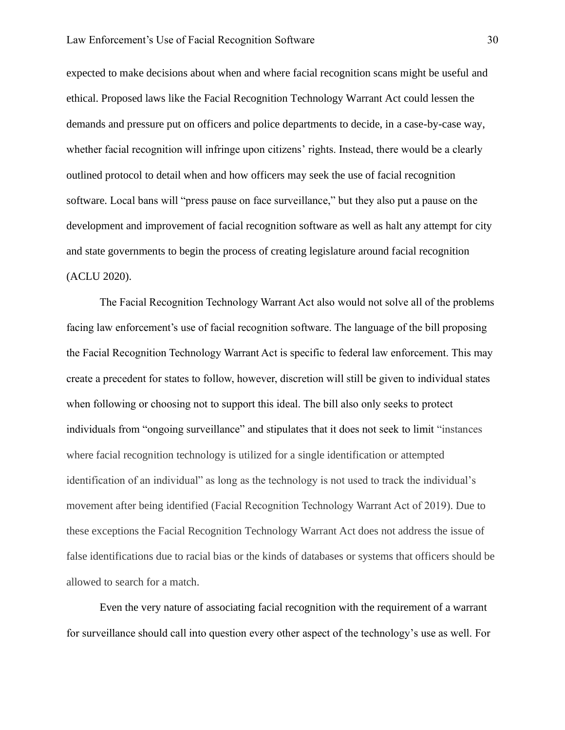expected to make decisions about when and where facial recognition scans might be useful and ethical. Proposed laws like the Facial Recognition Technology Warrant Act could lessen the demands and pressure put on officers and police departments to decide, in a case-by-case way, whether facial recognition will infringe upon citizens' rights. Instead, there would be a clearly outlined protocol to detail when and how officers may seek the use of facial recognition software. Local bans will "press pause on face surveillance," but they also put a pause on the development and improvement of facial recognition software as well as halt any attempt for city and state governments to begin the process of creating legislature around facial recognition (ACLU 2020).

The Facial Recognition Technology Warrant Act also would not solve all of the problems facing law enforcement's use of facial recognition software. The language of the bill proposing the Facial Recognition Technology Warrant Act is specific to federal law enforcement. This may create a precedent for states to follow, however, discretion will still be given to individual states when following or choosing not to support this ideal. The bill also only seeks to protect individuals from "ongoing surveillance" and stipulates that it does not seek to limit "instances where facial recognition technology is utilized for a single identification or attempted identification of an individual" as long as the technology is not used to track the individual's movement after being identified (Facial Recognition Technology Warrant Act of 2019). Due to these exceptions the Facial Recognition Technology Warrant Act does not address the issue of false identifications due to racial bias or the kinds of databases or systems that officers should be allowed to search for a match.

Even the very nature of associating facial recognition with the requirement of a warrant for surveillance should call into question every other aspect of the technology's use as well. For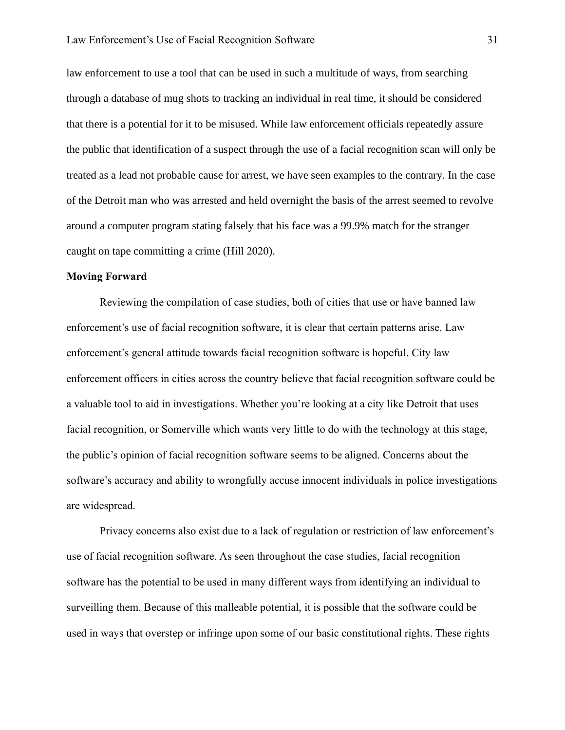law enforcement to use a tool that can be used in such a multitude of ways, from searching through a database of mug shots to tracking an individual in real time, it should be considered that there is a potential for it to be misused. While law enforcement officials repeatedly assure the public that identification of a suspect through the use of a facial recognition scan will only be treated as a lead not probable cause for arrest, we have seen examples to the contrary. In the case of the Detroit man who was arrested and held overnight the basis of the arrest seemed to revolve around a computer program stating falsely that his face was a 99.9% match for the stranger caught on tape committing a crime (Hill 2020).

## **Moving Forward**

Reviewing the compilation of case studies, both of cities that use or have banned law enforcement's use of facial recognition software, it is clear that certain patterns arise. Law enforcement's general attitude towards facial recognition software is hopeful. City law enforcement officers in cities across the country believe that facial recognition software could be a valuable tool to aid in investigations. Whether you're looking at a city like Detroit that uses facial recognition, or Somerville which wants very little to do with the technology at this stage, the public's opinion of facial recognition software seems to be aligned. Concerns about the software's accuracy and ability to wrongfully accuse innocent individuals in police investigations are widespread.

Privacy concerns also exist due to a lack of regulation or restriction of law enforcement's use of facial recognition software. As seen throughout the case studies, facial recognition software has the potential to be used in many different ways from identifying an individual to surveilling them. Because of this malleable potential, it is possible that the software could be used in ways that overstep or infringe upon some of our basic constitutional rights. These rights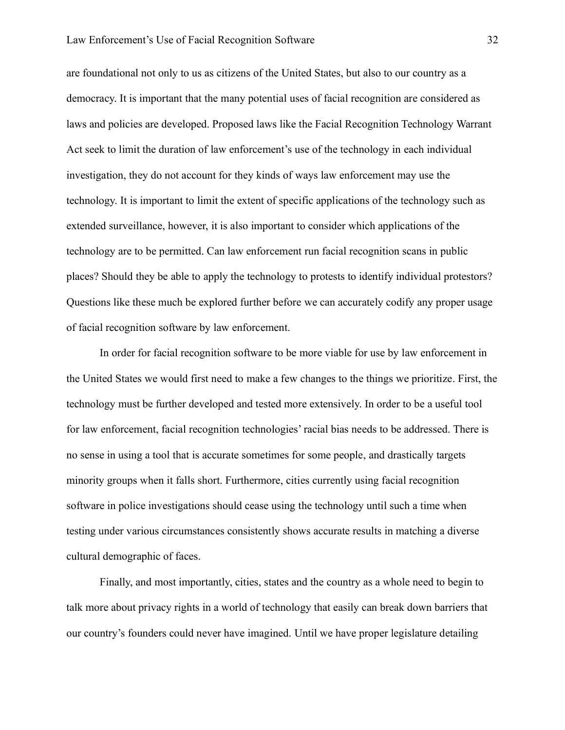are foundational not only to us as citizens of the United States, but also to our country as a democracy. It is important that the many potential uses of facial recognition are considered as laws and policies are developed. Proposed laws like the Facial Recognition Technology Warrant Act seek to limit the duration of law enforcement's use of the technology in each individual investigation, they do not account for they kinds of ways law enforcement may use the technology. It is important to limit the extent of specific applications of the technology such as extended surveillance, however, it is also important to consider which applications of the technology are to be permitted. Can law enforcement run facial recognition scans in public places? Should they be able to apply the technology to protests to identify individual protestors? Questions like these much be explored further before we can accurately codify any proper usage of facial recognition software by law enforcement.

In order for facial recognition software to be more viable for use by law enforcement in the United States we would first need to make a few changes to the things we prioritize. First, the technology must be further developed and tested more extensively. In order to be a useful tool for law enforcement, facial recognition technologies' racial bias needs to be addressed. There is no sense in using a tool that is accurate sometimes for some people, and drastically targets minority groups when it falls short. Furthermore, cities currently using facial recognition software in police investigations should cease using the technology until such a time when testing under various circumstances consistently shows accurate results in matching a diverse cultural demographic of faces.

Finally, and most importantly, cities, states and the country as a whole need to begin to talk more about privacy rights in a world of technology that easily can break down barriers that our country's founders could never have imagined. Until we have proper legislature detailing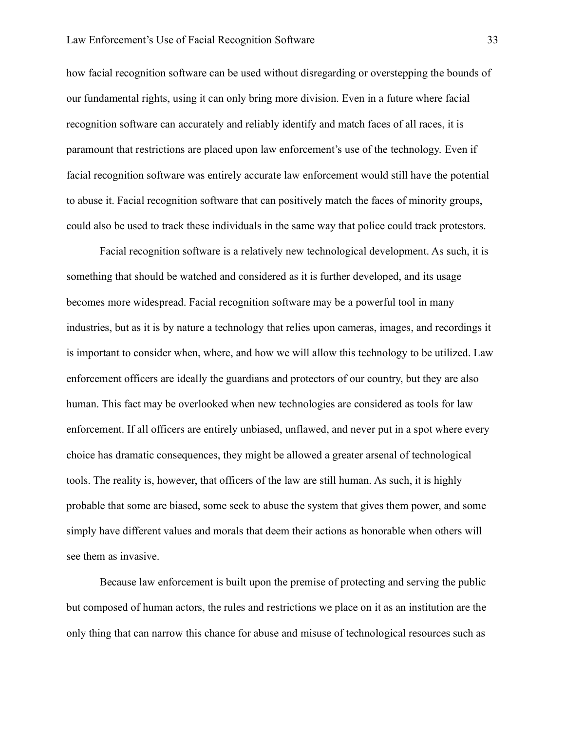how facial recognition software can be used without disregarding or overstepping the bounds of our fundamental rights, using it can only bring more division. Even in a future where facial recognition software can accurately and reliably identify and match faces of all races, it is paramount that restrictions are placed upon law enforcement's use of the technology. Even if facial recognition software was entirely accurate law enforcement would still have the potential to abuse it. Facial recognition software that can positively match the faces of minority groups, could also be used to track these individuals in the same way that police could track protestors.

Facial recognition software is a relatively new technological development. As such, it is something that should be watched and considered as it is further developed, and its usage becomes more widespread. Facial recognition software may be a powerful tool in many industries, but as it is by nature a technology that relies upon cameras, images, and recordings it is important to consider when, where, and how we will allow this technology to be utilized. Law enforcement officers are ideally the guardians and protectors of our country, but they are also human. This fact may be overlooked when new technologies are considered as tools for law enforcement. If all officers are entirely unbiased, unflawed, and never put in a spot where every choice has dramatic consequences, they might be allowed a greater arsenal of technological tools. The reality is, however, that officers of the law are still human. As such, it is highly probable that some are biased, some seek to abuse the system that gives them power, and some simply have different values and morals that deem their actions as honorable when others will see them as invasive.

Because law enforcement is built upon the premise of protecting and serving the public but composed of human actors, the rules and restrictions we place on it as an institution are the only thing that can narrow this chance for abuse and misuse of technological resources such as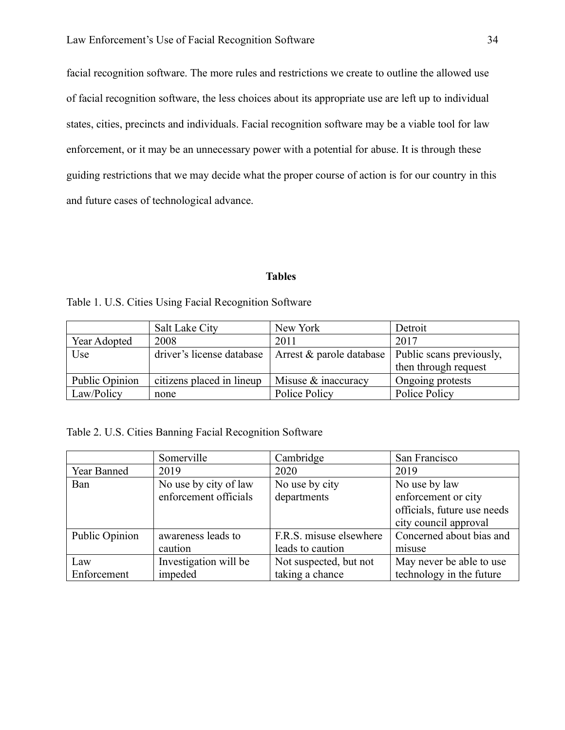facial recognition software. The more rules and restrictions we create to outline the allowed use of facial recognition software, the less choices about its appropriate use are left up to individual states, cities, precincts and individuals. Facial recognition software may be a viable tool for law enforcement, or it may be an unnecessary power with a potential for abuse. It is through these guiding restrictions that we may decide what the proper course of action is for our country in this and future cases of technological advance.

## **Tables**

Table 1. U.S. Cities Using Facial Recognition Software

|                | Salt Lake City            | New York                 | Detroit                  |
|----------------|---------------------------|--------------------------|--------------------------|
| Year Adopted   | 2008                      | 2011                     | 2017                     |
| Use            | driver's license database | Arrest & parole database | Public scans previously, |
|                |                           |                          | then through request     |
| Public Opinion | citizens placed in lineup | Misuse & inaccuracy      | Ongoing protests         |
| Law/Policy     | none                      | Police Policy            | Police Policy            |

Table 2. U.S. Cities Banning Facial Recognition Software

|                | Somerville            | Cambridge               | San Francisco               |
|----------------|-----------------------|-------------------------|-----------------------------|
| Year Banned    | 2019                  | 2020                    | 2019                        |
| Ban            | No use by city of law | No use by city          | No use by law               |
|                | enforcement officials | departments             | enforcement or city         |
|                |                       |                         | officials, future use needs |
|                |                       |                         | city council approval       |
| Public Opinion | awareness leads to    | F.R.S. misuse elsewhere | Concerned about bias and    |
|                | caution               | leads to caution        | misuse                      |
| Law            | Investigation will be | Not suspected, but not  | May never be able to use    |
| Enforcement    | impeded               | taking a chance         | technology in the future    |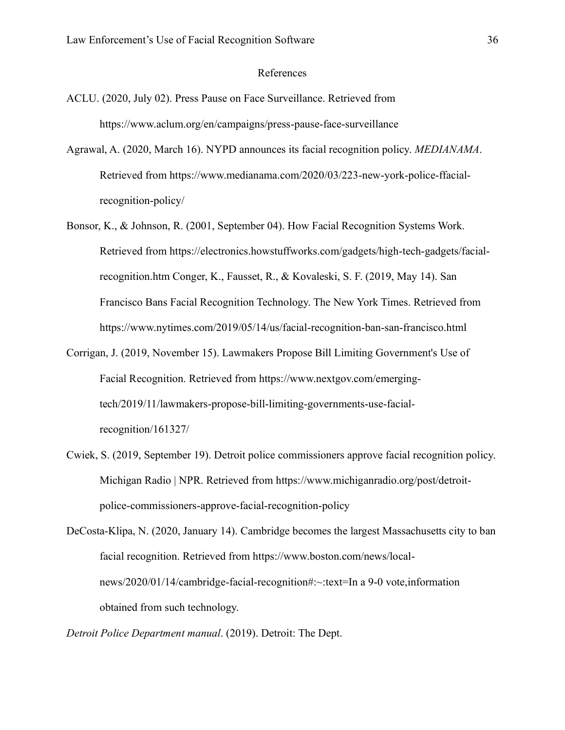#### References

- ACLU. (2020, July 02). Press Pause on Face Surveillance. Retrieved from https://www.aclum.org/en/campaigns/press-pause-face-surveillance
- Agrawal, A. (2020, March 16). NYPD announces its facial recognition policy. *MEDIANAMA*. Retrieved from https://www.medianama.com/2020/03/223-new-york-police-ffacialrecognition-policy/
- Bonsor, K., & Johnson, R. (2001, September 04). How Facial Recognition Systems Work. Retrieved from https://electronics.howstuffworks.com/gadgets/high-tech-gadgets/facialrecognition.htm Conger, K., Fausset, R., & Kovaleski, S. F. (2019, May 14). San Francisco Bans Facial Recognition Technology. The New York Times. Retrieved from https://www.nytimes.com/2019/05/14/us/facial-recognition-ban-san-francisco.html
- Corrigan, J. (2019, November 15). Lawmakers Propose Bill Limiting Government's Use of Facial Recognition. Retrieved from https://www.nextgov.com/emergingtech/2019/11/lawmakers-propose-bill-limiting-governments-use-facialrecognition/161327/
- Cwiek, S. (2019, September 19). Detroit police commissioners approve facial recognition policy. Michigan Radio | NPR. Retrieved from https://www.michiganradio.org/post/detroitpolice-commissioners-approve-facial-recognition-policy

DeCosta-Klipa, N. (2020, January 14). Cambridge becomes the largest Massachusetts city to ban facial recognition. Retrieved from https://www.boston.com/news/localnews/2020/01/14/cambridge-facial-recognition#:~:text=In a 9-0 vote,information obtained from such technology.

*Detroit Police Department manual*. (2019). Detroit: The Dept.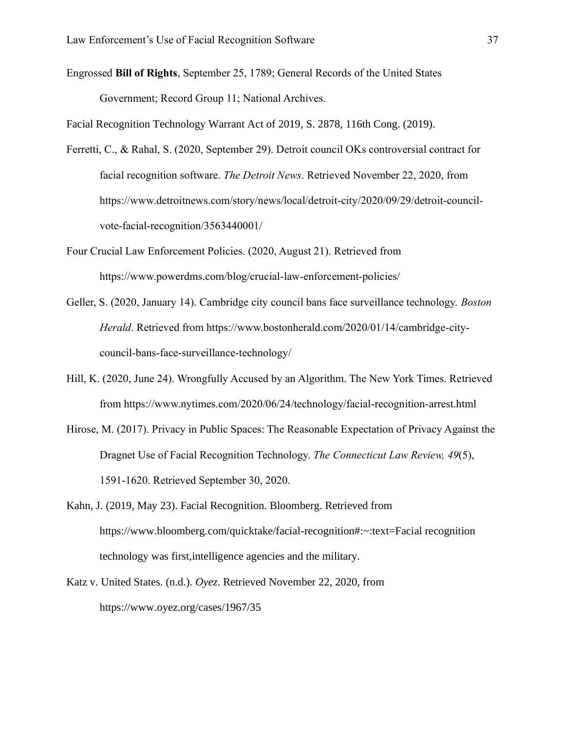Engrossed **Bill of Rights**, September 25, 1789; General Records of the United States Government; Record Group 11; National Archives.

Facial Recognition Technology Warrant Act of 2019, S. 2878, 116th Cong. (2019).

- Ferretti, C., & Rahal, S. (2020, September 29). Detroit council OKs controversial contract for facial recognition software. *The Detroit News*. Retrieved November 22, 2020, from https://www.detroitnews.com/story/news/local/detroit-city/2020/09/29/detroit-councilvote-facial-recognition/3563440001/
- Four Crucial Law Enforcement Policies. (2020, August 21). Retrieved from https://www.powerdms.com/blog/crucial-law-enforcement-policies/
- Geller, S. (2020, January 14). Cambridge city council bans face surveillance technology. *Boston Herald*. Retrieved from https://www.bostonherald.com/2020/01/14/cambridge-citycouncil-bans-face-surveillance-technology/
- Hill, K. (2020, June 24). Wrongfully Accused by an Algorithm. The New York Times. Retrieved from https://www.nytimes.com/2020/06/24/technology/facial-recognition-arrest.html
- Hirose, M. (2017). Privacy in Public Spaces: The Reasonable Expectation of Privacy Against the Dragnet Use of Facial Recognition Technology. *The Connecticut Law Review, 49*(5), 1591-1620. Retrieved September 30, 2020.
- Kahn, J. (2019, May 23). Facial Recognition. Bloomberg. Retrieved from https://www.bloomberg.com/quicktake/facial-recognition#:~:text=Facial recognition technology was first,intelligence agencies and the military.
- Katz v. United States. (n.d.). *Oyez*. Retrieved November 22, 2020, from https://www.oyez.org/cases/1967/35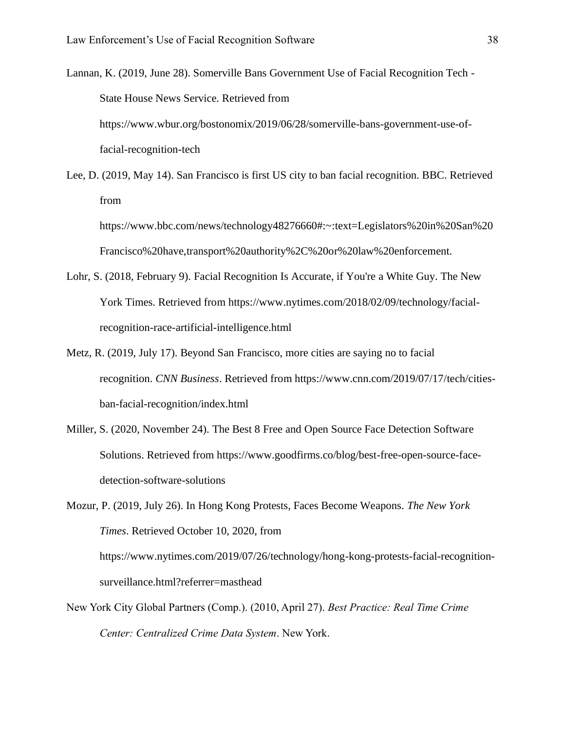Lannan, K. (2019, June 28). Somerville Bans Government Use of Facial Recognition Tech - State House News Service. Retrieved from https://www.wbur.org/bostonomix/2019/06/28/somerville-bans-government-use-offacial-recognition-tech

Lee, D. (2019, May 14). San Francisco is first US city to ban facial recognition. BBC. Retrieved from

https://www.bbc.com/news/technology48276660#:~:text=Legislators%20in%20San%20 Francisco%20have,transport%20authority%2C%20or%20law%20enforcement.

- Lohr, S. (2018, February 9). Facial Recognition Is Accurate, if You're a White Guy. The New York Times. Retrieved from https://www.nytimes.com/2018/02/09/technology/facialrecognition-race-artificial-intelligence.html
- Metz, R. (2019, July 17). Beyond San Francisco, more cities are saying no to facial recognition. *CNN Business*. Retrieved from https://www.cnn.com/2019/07/17/tech/citiesban-facial-recognition/index.html
- Miller, S. (2020, November 24). The Best 8 Free and Open Source Face Detection Software Solutions. Retrieved from https://www.goodfirms.co/blog/best-free-open-source-facedetection-software-solutions

Mozur, P. (2019, July 26). In Hong Kong Protests, Faces Become Weapons. *The New York Times*. Retrieved October 10, 2020, from https://www.nytimes.com/2019/07/26/technology/hong-kong-protests-facial-recognitionsurveillance.html?referrer=masthead

New York City Global Partners (Comp.). (2010, April 27). *Best Practice: Real Time Crime Center: Centralized Crime Data System*. New York.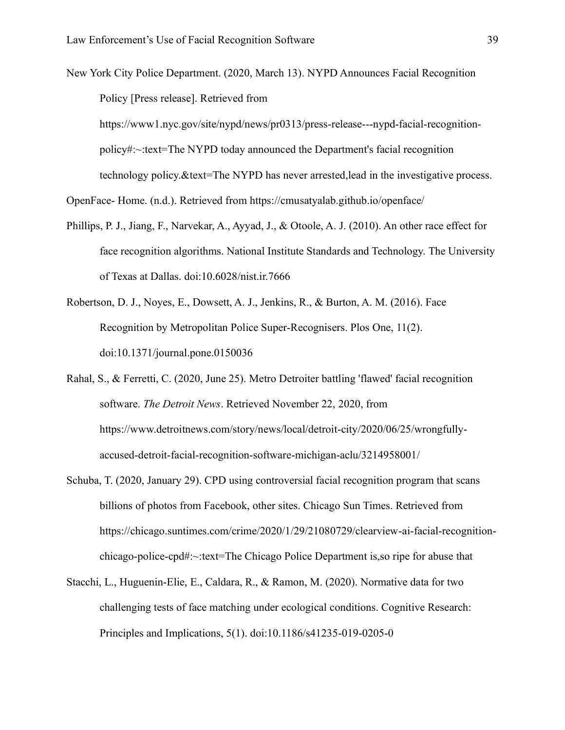New York City Police Department. (2020, March 13). NYPD Announces Facial Recognition Policy [Press release]. Retrieved from https://www1.nyc.gov/site/nypd/news/pr0313/press-release---nypd-facial-recognitionpolicy#:~:text=The NYPD today announced the Department's facial recognition

technology policy.&text=The NYPD has never arrested,lead in the investigative process.

OpenFace- Home. (n.d.). Retrieved from https://cmusatyalab.github.io/openface/

- Phillips, P. J., Jiang, F., Narvekar, A., Ayyad, J., & Otoole, A. J. (2010). An other race effect for face recognition algorithms. National Institute Standards and Technology. The University of Texas at Dallas. doi:10.6028/nist.ir.7666
- Robertson, D. J., Noyes, E., Dowsett, A. J., Jenkins, R., & Burton, A. M. (2016). Face Recognition by Metropolitan Police Super-Recognisers. Plos One, 11(2). doi:10.1371/journal.pone.0150036

Rahal, S., & Ferretti, C. (2020, June 25). Metro Detroiter battling 'flawed' facial recognition software. *The Detroit News*. Retrieved November 22, 2020, from https://www.detroitnews.com/story/news/local/detroit-city/2020/06/25/wrongfullyaccused-detroit-facial-recognition-software-michigan-aclu/3214958001/

- Schuba, T. (2020, January 29). CPD using controversial facial recognition program that scans billions of photos from Facebook, other sites. Chicago Sun Times. Retrieved from https://chicago.suntimes.com/crime/2020/1/29/21080729/clearview-ai-facial-recognitionchicago-police-cpd#:~:text=The Chicago Police Department is,so ripe for abuse that
- Stacchi, L., Huguenin-Elie, E., Caldara, R., & Ramon, M. (2020). Normative data for two challenging tests of face matching under ecological conditions. Cognitive Research: Principles and Implications, 5(1). doi:10.1186/s41235-019-0205-0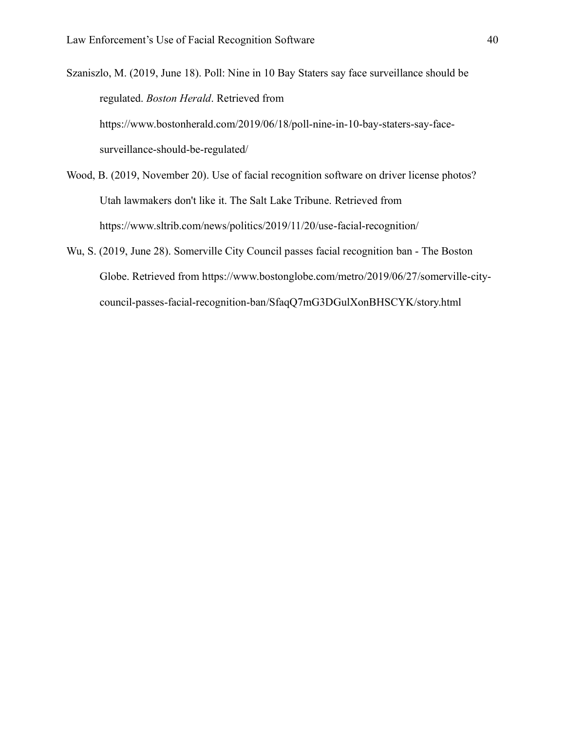Szaniszlo, M. (2019, June 18). Poll: Nine in 10 Bay Staters say face surveillance should be regulated. *Boston Herald*. Retrieved from https://www.bostonherald.com/2019/06/18/poll-nine-in-10-bay-staters-say-facesurveillance-should-be-regulated/

- Wood, B. (2019, November 20). Use of facial recognition software on driver license photos? Utah lawmakers don't like it. The Salt Lake Tribune. Retrieved from https://www.sltrib.com/news/politics/2019/11/20/use-facial-recognition/
- Wu, S. (2019, June 28). Somerville City Council passes facial recognition ban The Boston Globe. Retrieved from https://www.bostonglobe.com/metro/2019/06/27/somerville-citycouncil-passes-facial-recognition-ban/SfaqQ7mG3DGulXonBHSCYK/story.html